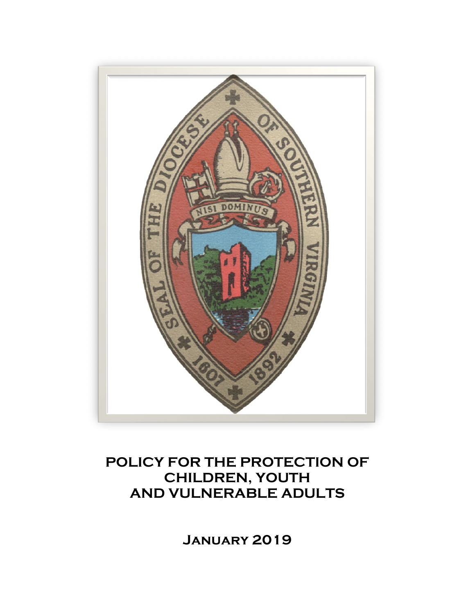

# **POLICY FOR THE PROTECTION OF CHILDREN, YOUTH AND VULNERABLE ADULTS**

**January 2019**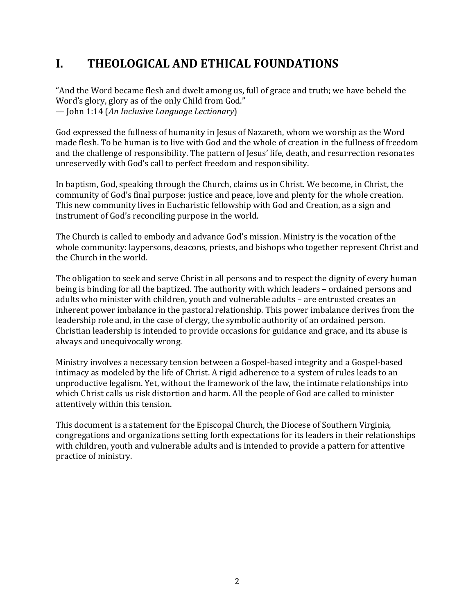# **I. THEOLOGICAL AND ETHICAL FOUNDATIONS**

"And the Word became flesh and dwelt among us, full of grace and truth; we have beheld the Word's glory, glory as of the only Child from God." — John 1:14 (*An Inclusive Language Lectionary*)

God expressed the fullness of humanity in Jesus of Nazareth, whom we worship as the Word made flesh. To be human is to live with God and the whole of creation in the fullness of freedom and the challenge of responsibility. The pattern of Jesus' life, death, and resurrection resonates unreservedly with God's call to perfect freedom and responsibility.

In baptism, God, speaking through the Church, claims us in Christ. We become, in Christ, the community of God's final purpose: justice and peace, love and plenty for the whole creation. This new community lives in Eucharistic fellowship with God and Creation, as a sign and instrument of God's reconciling purpose in the world.

The Church is called to embody and advance God's mission. Ministry is the vocation of the whole community: laypersons, deacons, priests, and bishops who together represent Christ and the Church in the world.

The obligation to seek and serve Christ in all persons and to respect the dignity of every human being is binding for all the baptized. The authority with which leaders – ordained persons and adults who minister with children, youth and vulnerable adults – are entrusted creates an inherent power imbalance in the pastoral relationship. This power imbalance derives from the leadership role and, in the case of clergy, the symbolic authority of an ordained person. Christian leadership is intended to provide occasions for guidance and grace, and its abuse is always and unequivocally wrong.

Ministry involves a necessary tension between a Gospel-based integrity and a Gospel-based intimacy as modeled by the life of Christ. A rigid adherence to a system of rules leads to an unproductive legalism. Yet, without the framework of the law, the intimate relationships into which Christ calls us risk distortion and harm. All the people of God are called to minister attentively within this tension.

This document is a statement for the Episcopal Church, the Diocese of Southern Virginia, congregations and organizations setting forth expectations for its leaders in their relationships with children, youth and vulnerable adults and is intended to provide a pattern for attentive practice of ministry.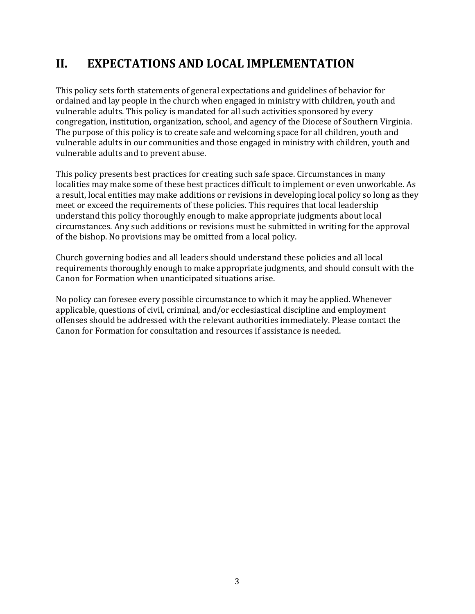# **II. EXPECTATIONS AND LOCAL IMPLEMENTATION**

This policy sets forth statements of general expectations and guidelines of behavior for ordained and lay people in the church when engaged in ministry with children, youth and vulnerable adults. This policy is mandated for all such activities sponsored by every congregation, institution, organization, school, and agency of the Diocese of Southern Virginia. The purpose of this policy is to create safe and welcoming space for all children, youth and vulnerable adults in our communities and those engaged in ministry with children, youth and vulnerable adults and to prevent abuse.

This policy presents best practices for creating such safe space. Circumstances in many localities may make some of these best practices difficult to implement or even unworkable. As a result, local entities may make additions or revisions in developing local policy so long as they meet or exceed the requirements of these policies. This requires that local leadership understand this policy thoroughly enough to make appropriate judgments about local circumstances. Any such additions or revisions must be submitted in writing for the approval of the bishop. No provisions may be omitted from a local policy.

Church governing bodies and all leaders should understand these policies and all local requirements thoroughly enough to make appropriate judgments, and should consult with the Canon for Formation when unanticipated situations arise.

No policy can foresee every possible circumstance to which it may be applied. Whenever applicable, questions of civil, criminal, and/or ecclesiastical discipline and employment offenses should be addressed with the relevant authorities immediately. Please contact the Canon for Formation for consultation and resources if assistance is needed.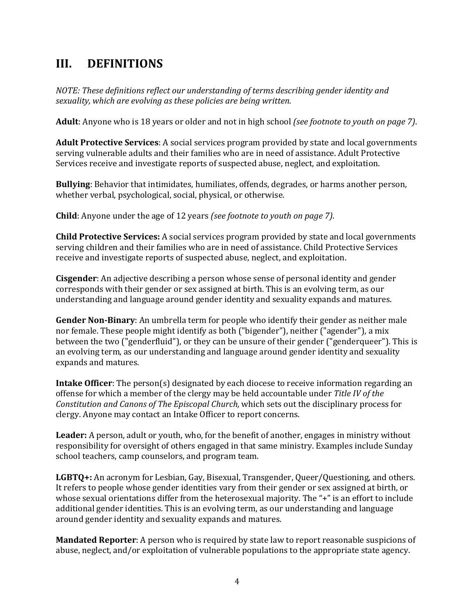# **III. DEFINITIONS**

*NOTE: These definitions reflect our understanding of terms describing gender identity and sexuality, which are evolving as these policies are being written.* 

**Adult**: Anyone who is 18 years or older and not in high school *(see footnote to youth on page 7)*.

**Adult Protective Services**: A social services program provided by state and local governments serving vulnerable adults and their families who are in need of assistance. Adult Protective Services receive and investigate reports of suspected abuse, neglect, and exploitation.

**Bullying**: Behavior that intimidates, humiliates, offends, degrades, or harms another person, whether verbal, psychological, social, physical, or otherwise.

**Child**: Anyone under the age of 12 years *(see footnote to youth on page 7)*.

**Child Protective Services:** A social services program provided by state and local governments serving children and their families who are in need of assistance. Child Protective Services receive and investigate reports of suspected abuse, neglect, and exploitation.

**Cisgender**: An adjective describing a person whose sense of personal identity and gender corresponds with their gender or sex assigned at birth. This is an evolving term, as our understanding and language around gender identity and sexuality expands and matures.

**Gender Non-Binary**: An umbrella term for people who identify their gender as neither male nor female. These people might identify as both ("bigender"), neither ("agender"), a mix between the two ("genderfluid"), or they can be unsure of their gender ("genderqueer"). This is an evolving term, as our understanding and language around gender identity and sexuality expands and matures.

**Intake Officer**: The person(s) designated by each diocese to receive information regarding an offense for which a member of the clergy may be held accountable under *Title IV of the Constitution and Canons of The Episcopal Church,* which sets out the disciplinary process for clergy. Anyone may contact an Intake Officer to report concerns.

**Leader:** A person, adult or youth, who, for the benefit of another, engages in ministry without responsibility for oversight of others engaged in that same ministry. Examples include Sunday school teachers, camp counselors, and program team.

LGBTQ+: An acronym for Lesbian, Gay, Bisexual, Transgender, Queer/Questioning, and others. It refers to people whose gender identities vary from their gender or sex assigned at birth, or whose sexual orientations differ from the heterosexual majority. The "+" is an effort to include additional gender identities. This is an evolving term, as our understanding and language around gender identity and sexuality expands and matures.

**Mandated Reporter**: A person who is required by state law to report reasonable suspicions of abuse, neglect, and/or exploitation of vulnerable populations to the appropriate state agency.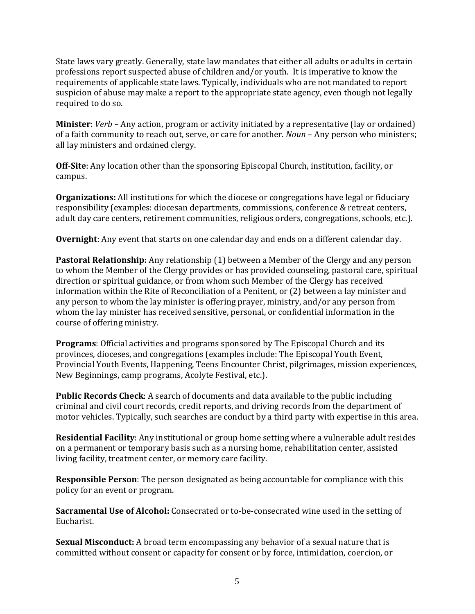State laws vary greatly. Generally, state law mandates that either all adults or adults in certain professions report suspected abuse of children and/or youth. It is imperative to know the requirements of applicable state laws. Typically, individuals who are not mandated to report suspicion of abuse may make a report to the appropriate state agency, even though not legally required to do so.

**Minister**: *Verb* – Any action, program or activity initiated by a representative (lay or ordained) of a faith community to reach out, serve, or care for another. *Noun* – Any person who ministers; all lay ministers and ordained clergy.

**Off-Site**: Any location other than the sponsoring Episcopal Church, institution, facility, or campus.

**Organizations:** All institutions for which the diocese or congregations have legal or fiduciary responsibility (examples: diocesan departments, commissions, conference & retreat centers, adult day care centers, retirement communities, religious orders, congregations, schools, etc.).

**Overnight**: Any event that starts on one calendar day and ends on a different calendar day.

**Pastoral Relationship:** Any relationship (1) between a Member of the Clergy and any person to whom the Member of the Clergy provides or has provided counseling, pastoral care, spiritual direction or spiritual guidance, or from whom such Member of the Clergy has received information within the Rite of Reconciliation of a Penitent, or (2) between a lay minister and any person to whom the lay minister is offering prayer, ministry, and/or any person from whom the lay minister has received sensitive, personal, or confidential information in the course of offering ministry.

**Programs**: Official activities and programs sponsored by The Episcopal Church and its provinces, dioceses, and congregations (examples include: The Episcopal Youth Event, Provincial Youth Events, Happening, Teens Encounter Christ, pilgrimages, mission experiences, New Beginnings, camp programs, Acolyte Festival, etc.).

**Public Records Check**: A search of documents and data available to the public including criminal and civil court records, credit reports, and driving records from the department of motor vehicles. Typically, such searches are conduct by a third party with expertise in this area.

**Residential Facility**: Any institutional or group home setting where a vulnerable adult resides on a permanent or temporary basis such as a nursing home, rehabilitation center, assisted living facility, treatment center, or memory care facility.

**Responsible Person**: The person designated as being accountable for compliance with this policy for an event or program.

**Sacramental Use of Alcohol:** Consecrated or to-be-consecrated wine used in the setting of Eucharist.

**Sexual Misconduct:** A broad term encompassing any behavior of a sexual nature that is committed without consent or capacity for consent or by force, intimidation, coercion, or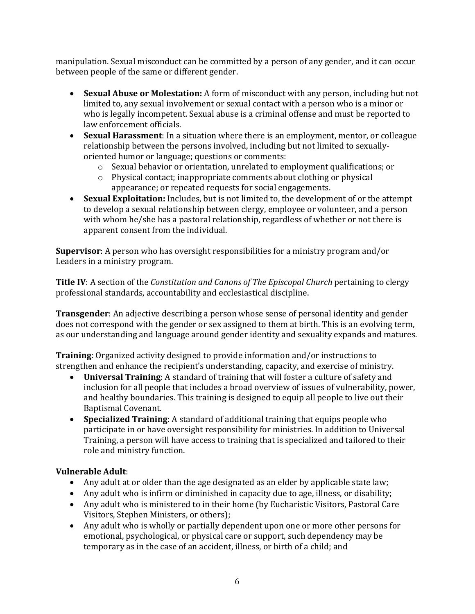manipulation. Sexual misconduct can be committed by a person of any gender, and it can occur between people of the same or different gender.

- **Sexual Abuse or Molestation:** A form of misconduct with any person, including but not limited to, any sexual involvement or sexual contact with a person who is a minor or who is legally incompetent. Sexual abuse is a criminal offense and must be reported to law enforcement officials.
- **Sexual Harassment**: In a situation where there is an employment, mentor, or colleague relationship between the persons involved, including but not limited to sexuallyoriented humor or language; questions or comments:
	- o Sexual behavior or orientation, unrelated to employment qualifications; or
	- o Physical contact; inappropriate comments about clothing or physical appearance; or repeated requests for social engagements.
- **Sexual Exploitation:** Includes, but is not limited to, the development of or the attempt to develop a sexual relationship between clergy, employee or volunteer, and a person with whom he/she has a pastoral relationship, regardless of whether or not there is apparent consent from the individual.

**Supervisor**: A person who has oversight responsibilities for a ministry program and/or Leaders in a ministry program.

**Title IV**: A section of the *Constitution and Canons of The Episcopal Church* pertaining to clergy professional standards, accountability and ecclesiastical discipline.

**Transgender**: An adjective describing a person whose sense of personal identity and gender does not correspond with the gender or sex assigned to them at birth. This is an evolving term, as our understanding and language around gender identity and sexuality expands and matures.

**Training**: Organized activity designed to provide information and/or instructions to strengthen and enhance the recipient's understanding, capacity, and exercise of ministry.

- **Universal Training**: A standard of training that will foster a culture of safety and inclusion for all people that includes a broad overview of issues of vulnerability, power, and healthy boundaries. This training is designed to equip all people to live out their Baptismal Covenant.
- **Specialized Training**: A standard of additional training that equips people who participate in or have oversight responsibility for ministries. In addition to Universal Training, a person will have access to training that is specialized and tailored to their role and ministry function.

#### **Vulnerable Adult**:

- Any adult at or older than the age designated as an elder by applicable state law;
- Any adult who is infirm or diminished in capacity due to age, illness, or disability;
- Any adult who is ministered to in their home (by Eucharistic Visitors, Pastoral Care Visitors, Stephen Ministers, or others);
- Any adult who is wholly or partially dependent upon one or more other persons for emotional, psychological, or physical care or support, such dependency may be temporary as in the case of an accident, illness, or birth of a child; and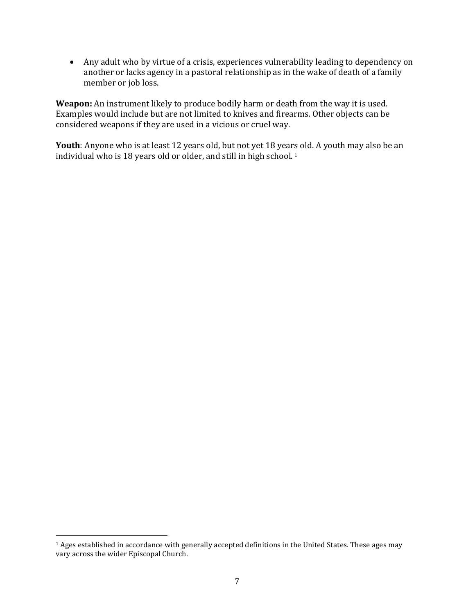• Any adult who by virtue of a crisis, experiences vulnerability leading to dependency on another or lacks agency in a pastoral relationship as in the wake of death of a family member or job loss.

**Weapon:** An instrument likely to produce bodily harm or death from the way it is used. Examples would include but are not limited to knives and firearms. Other objects can be considered weapons if they are used in a vicious or cruel way.

**Youth**: Anyone who is at least 12 years old, but not yet 18 years old. A youth may also be an individual who is 18 years old or older, and still in high school. [1](#page-6-0)

<span id="page-6-0"></span><sup>&</sup>lt;sup>1</sup> Ages established in accordance with generally accepted definitions in the United States. These ages may vary across the wider Episcopal Church.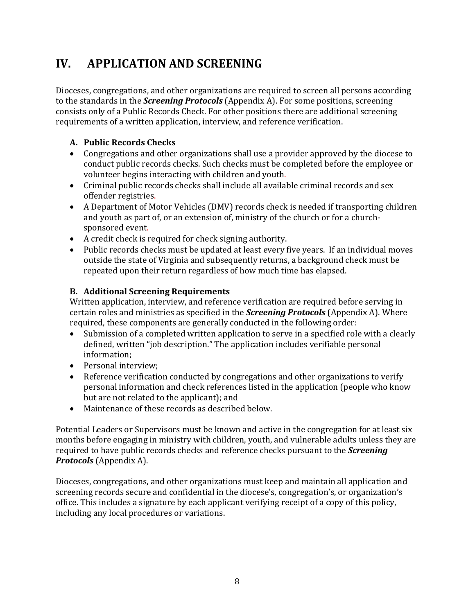# **IV. APPLICATION AND SCREENING**

Dioceses, congregations, and other organizations are required to screen all persons according to the standards in the *Screening Protocols* (Appendix A). For some positions, screening consists only of a Public Records Check. For other positions there are additional screening requirements of a written application, interview, and reference verification.

## **A. Public Records Checks**

- Congregations and other organizations shall use a provider approved by the diocese to conduct public records checks. Such checks must be completed before the employee or volunteer begins interacting with children and youth.
- Criminal public records checks shall include all available criminal records and sex offender registries.
- A Department of Motor Vehicles (DMV) records check is needed if transporting children and youth as part of, or an extension of, ministry of the church or for a churchsponsored event.
- A credit check is required for check signing authority.
- Public records checks must be updated at least every five years. If an individual moves outside the state of Virginia and subsequently returns, a background check must be repeated upon their return regardless of how much time has elapsed.

## **B. Additional Screening Requirements**

Written application, interview, and reference verification are required before serving in certain roles and ministries as specified in the *Screening Protocols* (Appendix A). Where required, these components are generally conducted in the following order:<br>• Submission of a completed written application to serve in a specified role

- Submission of a completed written application to serve in a specified role with a clearly defined, written "job description." The application includes verifiable personal information;
- Personal interview;
- Reference verification conducted by congregations and other organizations to verify personal information and check references listed in the application (people who know but are not related to the applicant); and
- Maintenance of these records as described below.

Potential Leaders or Supervisors must be known and active in the congregation for at least six months before engaging in ministry with children, youth, and vulnerable adults unless they are required to have public records checks and reference checks pursuant to the *Screening Protocols* (Appendix A).

Dioceses, congregations, and other organizations must keep and maintain all application and screening records secure and confidential in the diocese's, congregation's, or organization's office. This includes a signature by each applicant verifying receipt of a copy of this policy, including any local procedures or variations.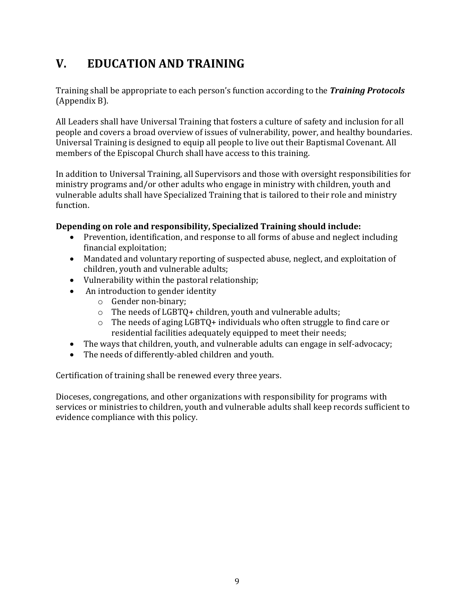# **V. EDUCATION AND TRAINING**

Training shall be appropriate to each person's function according to the *Training Protocols*  (Appendix B).

All Leaders shall have Universal Training that fosters a culture of safety and inclusion for all people and covers a broad overview of issues of vulnerability, power, and healthy boundaries. Universal Training is designed to equip all people to live out their Baptismal Covenant. All members of the Episcopal Church shall have access to this training.

In addition to Universal Training, all Supervisors and those with oversight responsibilities for ministry programs and/or other adults who engage in ministry with children, youth and vulnerable adults shall have Specialized Training that is tailored to their role and ministry function.

#### **Depending on role and responsibility, Specialized Training should include:**

- Prevention, identification, and response to all forms of abuse and neglect including financial exploitation;
- Mandated and voluntary reporting of suspected abuse, neglect, and exploitation of children, youth and vulnerable adults;
- Vulnerability within the pastoral relationship;
	- An introduction to gender identity
		- o Gender non-binary;
		- o The needs of LGBTQ+ children, youth and vulnerable adults;
		- o The needs of aging LGBTQ+ individuals who often struggle to find care or residential facilities adequately equipped to meet their needs;
- The ways that children, youth, and vulnerable adults can engage in self-advocacy;
- The needs of differently-abled children and youth.

Certification of training shall be renewed every three years.

Dioceses, congregations, and other organizations with responsibility for programs with services or ministries to children, youth and vulnerable adults shall keep records sufficient to evidence compliance with this policy.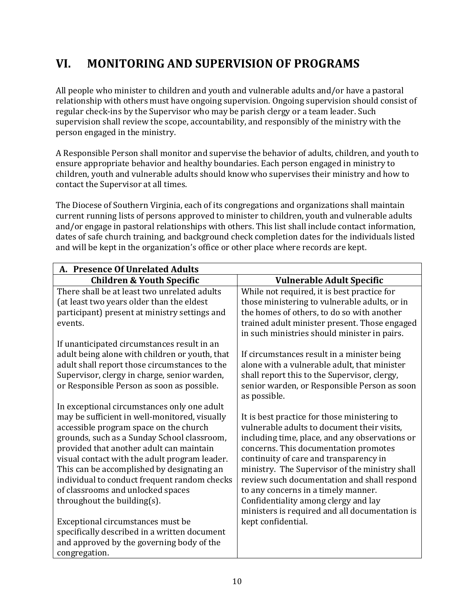# **VI. MONITORING AND SUPERVISION OF PROGRAMS**

All people who minister to children and youth and vulnerable adults and/or have a pastoral relationship with others must have ongoing supervision. Ongoing supervision should consist of regular check-ins by the Supervisor who may be parish clergy or a team leader. Such supervision shall review the scope, accountability, and responsibly of the ministry with the person engaged in the ministry.

A Responsible Person shall monitor and supervise the behavior of adults, children, and youth to ensure appropriate behavior and healthy boundaries. Each person engaged in ministry to children, youth and vulnerable adults should know who supervises their ministry and how to contact the Supervisor at all times.

The Diocese of Southern Virginia, each of its congregations and organizations shall maintain current running lists of persons approved to minister to children, youth and vulnerable adults and/or engage in pastoral relationships with others. This list shall include contact information, dates of safe church training, and background check completion dates for the individuals listed and will be kept in the organization's office or other place where records are kept.

| A. Presence Of Unrelated Adults                                                                                                                                                                                                                                                                                                                                                                                                                      |                                                                                                                                                                                                                                                                                                                                                                                                                                                                    |  |
|------------------------------------------------------------------------------------------------------------------------------------------------------------------------------------------------------------------------------------------------------------------------------------------------------------------------------------------------------------------------------------------------------------------------------------------------------|--------------------------------------------------------------------------------------------------------------------------------------------------------------------------------------------------------------------------------------------------------------------------------------------------------------------------------------------------------------------------------------------------------------------------------------------------------------------|--|
| <b>Children &amp; Youth Specific</b>                                                                                                                                                                                                                                                                                                                                                                                                                 | <b>Vulnerable Adult Specific</b>                                                                                                                                                                                                                                                                                                                                                                                                                                   |  |
| There shall be at least two unrelated adults<br>(at least two years older than the eldest                                                                                                                                                                                                                                                                                                                                                            | While not required, it is best practice for<br>those ministering to vulnerable adults, or in                                                                                                                                                                                                                                                                                                                                                                       |  |
| participant) present at ministry settings and<br>events.                                                                                                                                                                                                                                                                                                                                                                                             | the homes of others, to do so with another<br>trained adult minister present. Those engaged<br>in such ministries should minister in pairs.                                                                                                                                                                                                                                                                                                                        |  |
| If unanticipated circumstances result in an<br>adult being alone with children or youth, that<br>adult shall report those circumstances to the<br>Supervisor, clergy in charge, senior warden,<br>or Responsible Person as soon as possible.                                                                                                                                                                                                         | If circumstances result in a minister being<br>alone with a vulnerable adult, that minister<br>shall report this to the Supervisor, clergy,<br>senior warden, or Responsible Person as soon<br>as possible.                                                                                                                                                                                                                                                        |  |
| In exceptional circumstances only one adult<br>may be sufficient in well-monitored, visually<br>accessible program space on the church<br>grounds, such as a Sunday School classroom,<br>provided that another adult can maintain<br>visual contact with the adult program leader.<br>This can be accomplished by designating an<br>individual to conduct frequent random checks<br>of classrooms and unlocked spaces<br>throughout the building(s). | It is best practice for those ministering to<br>vulnerable adults to document their visits,<br>including time, place, and any observations or<br>concerns. This documentation promotes<br>continuity of care and transparency in<br>ministry. The Supervisor of the ministry shall<br>review such documentation and shall respond<br>to any concerns in a timely manner.<br>Confidentiality among clergy and lay<br>ministers is required and all documentation is |  |
| Exceptional circumstances must be<br>specifically described in a written document<br>and approved by the governing body of the<br>congregation.                                                                                                                                                                                                                                                                                                      | kept confidential.                                                                                                                                                                                                                                                                                                                                                                                                                                                 |  |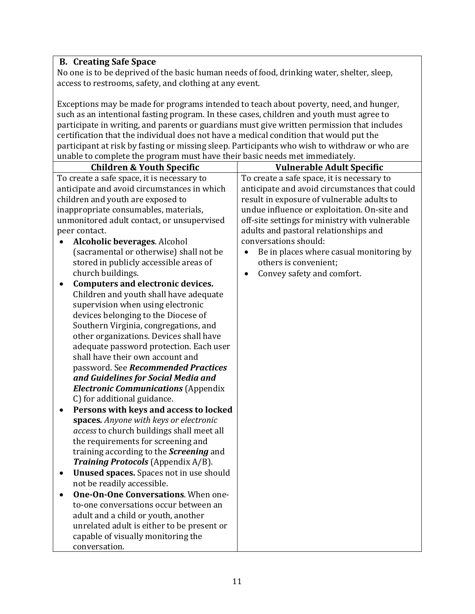# **B. Creating Safe Space**

No one is to be deprived of the basic human needs of food, drinking water, shelter, sleep, access to restrooms, safety, and clothing at any event.

Exceptions may be made for programs intended to teach about poverty, need, and hunger, such as an intentional fasting program. In these cases, children and youth must agree to participate in writing, and parents or guardians must give written permission that includes certification that the individual does not have a medical condition that would put the participant at risk by fasting or missing sleep. Participants who wish to withdraw or who are unable to complete the program must have their basic needs met immediately.

| <b>Children &amp; Youth Specific</b>                | <b>Vulnerable Adult Specific</b>                     |
|-----------------------------------------------------|------------------------------------------------------|
| To create a safe space, it is necessary to          | To create a safe space, it is necessary to           |
| anticipate and avoid circumstances in which         | anticipate and avoid circumstances that could        |
| children and youth are exposed to                   | result in exposure of vulnerable adults to           |
| inappropriate consumables, materials,               | undue influence or exploitation. On-site and         |
| unmonitored adult contact, or unsupervised          | off-site settings for ministry with vulnerable       |
| peer contact.                                       | adults and pastoral relationships and                |
| Alcoholic beverages. Alcohol                        | conversations should:                                |
| (sacramental or otherwise) shall not be             | Be in places where casual monitoring by<br>$\bullet$ |
| stored in publicly accessible areas of              | others is convenient;                                |
| church buildings.                                   | Convey safety and comfort.<br>$\bullet$              |
| <b>Computers and electronic devices.</b>            |                                                      |
| Children and youth shall have adequate              |                                                      |
| supervision when using electronic                   |                                                      |
| devices belonging to the Diocese of                 |                                                      |
| Southern Virginia, congregations, and               |                                                      |
| other organizations. Devices shall have             |                                                      |
| adequate password protection. Each user             |                                                      |
| shall have their own account and                    |                                                      |
| password. See Recommended Practices                 |                                                      |
| and Guidelines for Social Media and                 |                                                      |
| <b>Electronic Communications (Appendix</b>          |                                                      |
| C) for additional guidance.                         |                                                      |
| Persons with keys and access to locked              |                                                      |
| spaces. Anyone with keys or electronic              |                                                      |
| access to church buildings shall meet all           |                                                      |
| the requirements for screening and                  |                                                      |
| training according to the <b>Screening</b> and      |                                                      |
| Training Protocols (Appendix A/B).                  |                                                      |
| <b>Unused spaces.</b> Spaces not in use should<br>٠ |                                                      |
| not be readily accessible.                          |                                                      |
| One-On-One Conversations. When one-<br>$\bullet$    |                                                      |
| to-one conversations occur between an               |                                                      |
| adult and a child or youth, another                 |                                                      |
| unrelated adult is either to be present or          |                                                      |
| capable of visually monitoring the                  |                                                      |
| conversation.                                       |                                                      |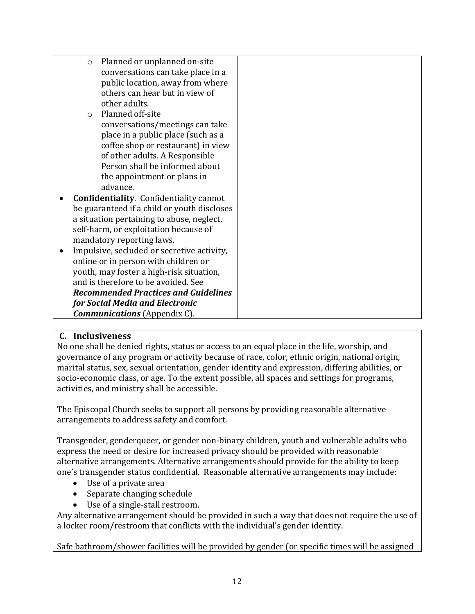|                                     | $\circ$                                     | Planned or unplanned on-site                   |  |
|-------------------------------------|---------------------------------------------|------------------------------------------------|--|
|                                     |                                             | conversations can take place in a              |  |
|                                     |                                             | public location, away from where               |  |
|                                     |                                             | others can hear but in view of                 |  |
|                                     |                                             | other adults.                                  |  |
|                                     | $\bigcirc$                                  | Planned off-site                               |  |
|                                     |                                             | conversations/meetings can take                |  |
|                                     |                                             | place in a public place (such as a             |  |
|                                     |                                             | coffee shop or restaurant) in view             |  |
|                                     |                                             | of other adults. A Responsible                 |  |
|                                     |                                             | Person shall be informed about                 |  |
|                                     |                                             | the appointment or plans in                    |  |
|                                     |                                             | advance.                                       |  |
| $\bullet$                           |                                             | <b>Confidentiality.</b> Confidentiality cannot |  |
|                                     |                                             | be guaranteed if a child or youth discloses    |  |
|                                     |                                             | a situation pertaining to abuse, neglect,      |  |
|                                     |                                             | self-harm, or exploitation because of          |  |
|                                     |                                             | mandatory reporting laws.                      |  |
| $\bullet$                           |                                             | Impulsive, secluded or secretive activity,     |  |
|                                     |                                             | online or in person with children or           |  |
|                                     | youth, may foster a high-risk situation,    |                                                |  |
|                                     |                                             | and is therefore to be avoided. See            |  |
|                                     | <b>Recommended Practices and Guidelines</b> |                                                |  |
|                                     |                                             | for Social Media and Electronic                |  |
| <b>Communications</b> (Appendix C). |                                             |                                                |  |

#### **C. Inclusiveness**

No one shall be denied rights, status or access to an equal place in the life, worship, and governance of any program or activity because of race, color, ethnic origin, national origin, marital status, sex, sexual orientation, gender identity and expression, differing abilities, or socio-economic class, or age. To the extent possible, all spaces and settings for programs, activities, and ministry shall be accessible.

The Episcopal Church seeks to support all persons by providing reasonable alternative arrangements to address safety and comfort.

Transgender, genderqueer, or gender non-binary children, youth and vulnerable adults who express the need or desire for increased privacy should be provided with reasonable alternative arrangements. Alternative arrangements should provide for the ability to keep one's transgender status confidential. Reasonable alternative arrangements may include:

- Use of a private area
- Separate changing schedule
- Use of a single-stall restroom.

Any alternative arrangement should be provided in such a way that does not require the use of a locker room/restroom that conflicts with the individual's gender identity.

Safe bathroom/shower facilities will be provided by gender (or specific times will be assigned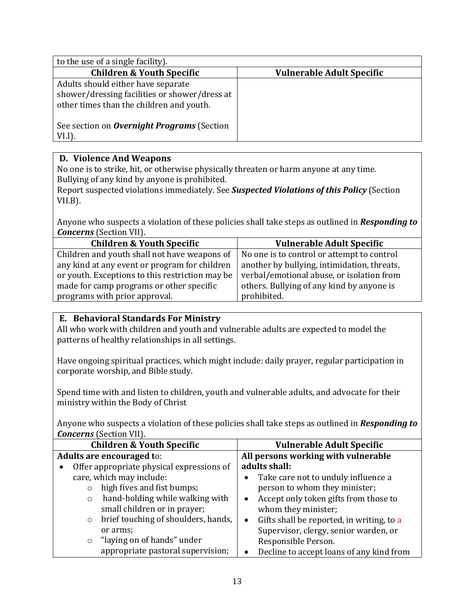| to the use of a single facility).                                                                                               |                                  |
|---------------------------------------------------------------------------------------------------------------------------------|----------------------------------|
| <b>Children &amp; Youth Specific</b>                                                                                            | <b>Vulnerable Adult Specific</b> |
| Adults should either have separate<br>shower/dressing facilities or shower/dress at<br>other times than the children and youth. |                                  |
| See section on <b>Overnight Programs</b> (Section<br>$VLI$ ).                                                                   |                                  |

## **D. Violence And Weapons**

No one is to strike, hit, or otherwise physically threaten or harm anyone at any time. Bullying of any kind by anyone is prohibited.

Report suspected violations immediately. See *Suspected Violations of this Policy* (Section VII.B).

Anyone who suspects a violation of these policies shall take steps as outlined in *Responding to Concerns* (Section VII).

| <b>Children &amp; Youth Specific</b>            | <b>Vulnerable Adult Specific</b>            |  |
|-------------------------------------------------|---------------------------------------------|--|
| Children and youth shall not have weapons of    | No one is to control or attempt to control  |  |
| any kind at any event or program for children   | another by bullying, intimidation, threats, |  |
| or youth. Exceptions to this restriction may be | verbal/emotional abuse, or isolation from   |  |
| made for camp programs or other specific        | others. Bullying of any kind by anyone is   |  |
| programs with prior approval.                   | prohibited.                                 |  |

## **E. Behavioral Standards For Ministry**

All who work with children and youth and vulnerable adults are expected to model the patterns of healthy relationships in all settings.

Have ongoing spiritual practices, which might include: daily prayer, regular participation in corporate worship, and Bible study.

Spend time with and listen to children, youth and vulnerable adults, and advocate for their ministry within the Body of Christ

Anyone who suspects a violation of these policies shall take steps as outlined in *Responding to Concerns* (Section VII).

| <b>Children &amp; Youth Specific</b>           | <b>Vulnerable Adult Specific</b>                       |  |
|------------------------------------------------|--------------------------------------------------------|--|
| Adults are encouraged to:                      | All persons working with vulnerable                    |  |
| Offer appropriate physical expressions of<br>٠ | adults shall:                                          |  |
| care, which may include:                       | Take care not to unduly influence a<br>$\bullet$       |  |
| high fives and fist bumps;                     | person to whom they minister;                          |  |
| hand-holding while walking with<br>$\circ$     | Accept only token gifts from those to<br>٠             |  |
| small children or in prayer;                   | whom they minister;                                    |  |
| brief touching of shoulders, hands,<br>$\circ$ | Gifts shall be reported, in writing, to a<br>$\bullet$ |  |
| or arms;                                       | Supervisor, clergy, senior warden, or                  |  |
| "laying on of hands" under<br>$\circ$          | Responsible Person.                                    |  |
| appropriate pastoral supervision;              | Decline to accept loans of any kind from               |  |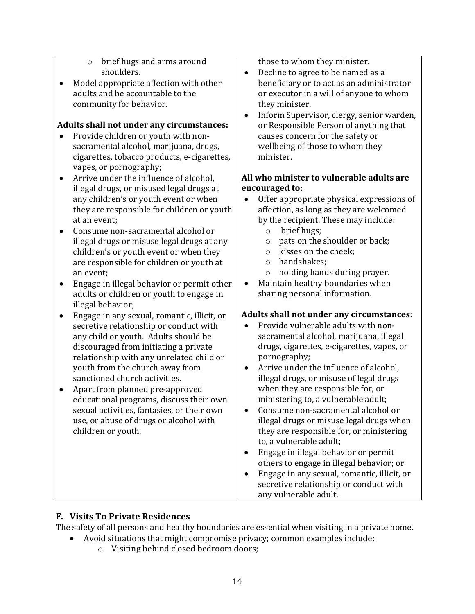- o brief hugs and arms around shoulders.
- Model appropriate affection with other adults and be accountable to the community for behavior.

#### **Adults shall not under any circumstances:**

- Provide children or youth with nonsacramental alcohol, marijuana, drugs, cigarettes, tobacco products, e-cigarettes, vapes, or pornography;
- Arrive under the influence of alcohol, illegal drugs, or misused legal drugs at any children's or youth event or when they are responsible for children or youth at an event;
- Consume non-sacramental alcohol or illegal drugs or misuse legal drugs at any children's or youth event or when they are responsible for children or youth at an event;
- Engage in illegal behavior or permit other adults or children or youth to engage in illegal behavior;
- Engage in any sexual, romantic, illicit, or secretive relationship or conduct with any child or youth. Adults should be discouraged from initiating a private relationship with any unrelated child or youth from the church away from sanctioned church activities.
- Apart from planned pre-approved educational programs, discuss their own sexual activities, fantasies, or their own use, or abuse of drugs or alcohol with children or youth.

those to whom they minister.

- Decline to agree to be named as a beneficiary or to act as an administrator or executor in a will of anyone to whom they minister.
- Inform Supervisor, clergy, senior warden, or Responsible Person of anything that causes concern for the safety or wellbeing of those to whom they minister.

#### **All who minister to vulnerable adults are encouraged to:**

- Offer appropriate physical expressions of affection, as long as they are welcomed by the recipient. These may include:<br>  $\circ$  brief hugs:
	- brief hugs;
	- $\circ$  pats on the shoulder or back;<br> $\circ$  kisses on the cheek:
	- $\circ$  kisses on the cheek;<br> $\circ$  handshakes:
	- handshakes:
	- o holding hands during prayer.
- Maintain healthy boundaries when sharing personal information.

## **Adults shall not under any circumstances**:

- Provide vulnerable adults with nonsacramental alcohol, marijuana, illegal drugs, cigarettes, e-cigarettes, vapes, or pornography;
- Arrive under the influence of alcohol, illegal drugs, or misuse of legal drugs when they are responsible for, or ministering to, a vulnerable adult;
- Consume non-sacramental alcohol or illegal drugs or misuse legal drugs when they are responsible for, or ministering to, a vulnerable adult;
- Engage in illegal behavior or permit others to engage in illegal behavior; or
- Engage in any sexual, romantic, illicit, or secretive relationship or conduct with any vulnerable adult.

# **F. Visits To Private Residences**

The safety of all persons and healthy boundaries are essential when visiting in a private home.

- Avoid situations that might compromise privacy; common examples include:
	- o Visiting behind closed bedroom doors;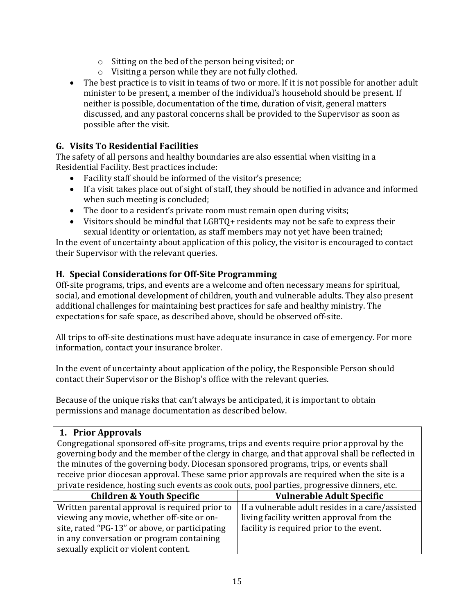- o Sitting on the bed of the person being visited; or
- o Visiting a person while they are not fully clothed.
- The best practice is to visit in teams of two or more. If it is not possible for another adult minister to be present, a member of the individual's household should be present. If neither is possible, documentation of the time, duration of visit, general matters discussed, and any pastoral concerns shall be provided to the Supervisor as soon as possible after the visit.

#### **G. Visits To Residential Facilities**

The safety of all persons and healthy boundaries are also essential when visiting in a Residential Facility. Best practices include:

- Facility staff should be informed of the visitor's presence;
- If a visit takes place out of sight of staff, they should be notified in advance and informed when such meeting is concluded;
- The door to a resident's private room must remain open during visits;
- Visitors should be mindful that LGBTQ+ residents may not be safe to express their sexual identity or orientation, as staff members may not yet have been trained;

In the event of uncertainty about application of this policy, the visitor is encouraged to contact their Supervisor with the relevant queries.

## **H. Special Considerations for Off-Site Programming**

Off-site programs, trips, and events are a welcome and often necessary means for spiritual, social, and emotional development of children, youth and vulnerable adults. They also present additional challenges for maintaining best practices for safe and healthy ministry. The expectations for safe space, as described above, should be observed off-site.

All trips to off-site destinations must have adequate insurance in case of emergency. For more information, contact your insurance broker.

In the event of uncertainty about application of the policy, the Responsible Person should contact their Supervisor or the Bishop's office with the relevant queries.

Because of the unique risks that can't always be anticipated, it is important to obtain permissions and manage documentation as described below.

#### **1. Prior Approvals**

Congregational sponsored off-site programs, trips and events require prior approval by the governing body and the member of the clergy in charge, and that approval shall be reflected in the minutes of the governing body. Diocesan sponsored programs, trips, or events shall receive prior diocesan approval. These same prior approvals are required when the site is a private residence, hosting such events as cook outs, pool parties, progressive dinners, etc.

| <b>Children &amp; Youth Specific</b>           | <b>Vulnerable Adult Specific</b>                 |  |
|------------------------------------------------|--------------------------------------------------|--|
| Written parental approval is required prior to | If a vulnerable adult resides in a care/assisted |  |
| viewing any movie, whether off-site or on-     | living facility written approval from the        |  |
| site, rated "PG-13" or above, or participating | facility is required prior to the event.         |  |
| in any conversation or program containing      |                                                  |  |
| sexually explicit or violent content.          |                                                  |  |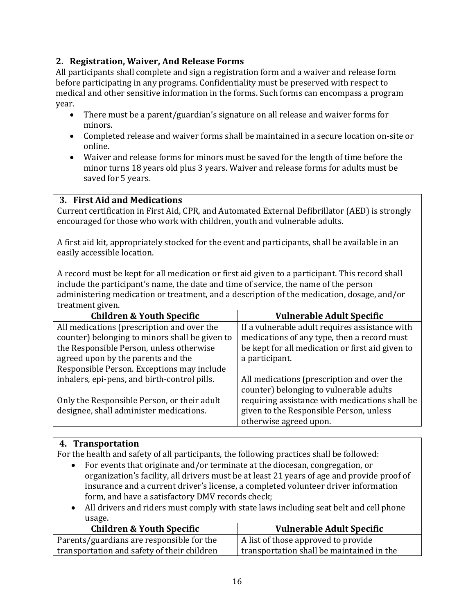## **2. Registration, Waiver, And Release Forms**

All participants shall complete and sign a registration form and a waiver and release form before participating in any programs. Confidentiality must be preserved with respect to medical and other sensitive information in the forms. Such forms can encompass a program year.

- There must be a parent/guardian's signature on all release and waiver forms for minors.
- Completed release and waiver forms shall be maintained in a secure location on-site or online.
- Waiver and release forms for minors must be saved for the length of time before the minor turns 18 years old plus 3 years. Waiver and release forms for adults must be saved for 5 years.

#### **3. First Aid and Medications**

Current certification in First Aid, CPR, and Automated External Defibrillator (AED) is strongly encouraged for those who work with children, youth and vulnerable adults.

A first aid kit, appropriately stocked for the event and participants, shall be available in an easily accessible location.

A record must be kept for all medication or first aid given to a participant. This record shall include the participant's name, the date and time of service, the name of the person administering medication or treatment, and a description of the medication, dosage, and/or treatment given.

| <b>Children &amp; Youth Specific</b>           | <b>Vulnerable Adult Specific</b>                 |
|------------------------------------------------|--------------------------------------------------|
| All medications (prescription and over the     | If a vulnerable adult requires assistance with   |
| counter) belonging to minors shall be given to | medications of any type, then a record must      |
| the Responsible Person, unless otherwise       | be kept for all medication or first aid given to |
| agreed upon by the parents and the             | a participant.                                   |
| Responsible Person. Exceptions may include     |                                                  |
| inhalers, epi-pens, and birth-control pills.   | All medications (prescription and over the       |
|                                                | counter) belonging to vulnerable adults          |
| Only the Responsible Person, or their adult    | requiring assistance with medications shall be   |
| designee, shall administer medications.        | given to the Responsible Person, unless          |
|                                                | otherwise agreed upon.                           |

## **4. Transportation**

For the health and safety of all participants, the following practices shall be followed:

- For events that originate and/or terminate at the diocesan, congregation, or organization's facility, all drivers must be at least 21 years of age and provide proof of insurance and a current driver's license, a completed volunteer driver information form, and have a satisfactory DMV records check;
- All drivers and riders must comply with state laws including seat belt and cell phone usage.

| <b>Children &amp; Youth Specific</b>        | <b>Vulnerable Adult Specific</b>          |
|---------------------------------------------|-------------------------------------------|
| Parents/guardians are responsible for the   | A list of those approved to provide       |
| transportation and safety of their children | transportation shall be maintained in the |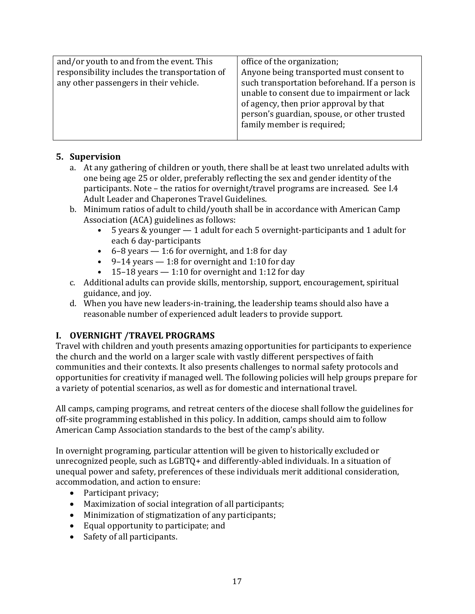| and/or youth to and from the event. This                                                | office of the organization;                                                                                                                                                                                                        |
|-----------------------------------------------------------------------------------------|------------------------------------------------------------------------------------------------------------------------------------------------------------------------------------------------------------------------------------|
| responsibility includes the transportation of<br>any other passengers in their vehicle. | Anyone being transported must consent to<br>such transportation beforehand. If a person is<br>unable to consent due to impairment or lack<br>of agency, then prior approval by that<br>person's guardian, spouse, or other trusted |
|                                                                                         | family member is required;                                                                                                                                                                                                         |

## **5. Supervision**

- a. At any gathering of children or youth, there shall be at least two unrelated adults with one being age 25 or older, preferably reflecting the sex and gender identity of the participants. Note – the ratios for overnight/travel programs are increased. See I.4 Adult Leader and Chaperones Travel Guidelines.
- b. Minimum ratios of adult to child/youth shall be in accordance with American Camp Association (ACA) guidelines as follows:<br> $\bullet$  5 vears & vounger  $-$  1 adult for  $\epsilon$ 
	- 5 years & younger 1 adult for each 5 overnight-participants and 1 adult for each 6 day-participants
	- 6–8 years 1:6 for overnight, and 1:8 for day
	- 9–14 years  $-1:8$  for overnight and 1:10 for day
	- 15–18 years  $-1:10$  for overnight and 1:12 for day
- c. Additional adults can provide skills, mentorship, support, encouragement, spiritual guidance, and joy.
- d. When you have new leaders-in-training, the leadership teams should also have a reasonable number of experienced adult leaders to provide support.

## **I. OVERNIGHT /TRAVEL PROGRAMS**

Travel with children and youth presents amazing opportunities for participants to experience the church and the world on a larger scale with vastly different perspectives of faith communities and their contexts. It also presents challenges to normal safety protocols and opportunities for creativity if managed well. The following policies will help groups prepare for a variety of potential scenarios, as well as for domestic and international travel.

All camps, camping programs, and retreat centers of the diocese shall follow the guidelines for off-site programming established in this policy. In addition, camps should aim to follow American Camp Association standards to the best of the camp's ability.

In overnight programing, particular attention will be given to historically excluded or unrecognized people, such as LGBTQ+ and differently-abled individuals. In a situation of unequal power and safety, preferences of these individuals merit additional consideration, accommodation, and action to ensure:

- Participant privacy;
- Maximization of social integration of all participants;
- Minimization of stigmatization of any participants;
- Equal opportunity to participate; and
- Safety of all participants.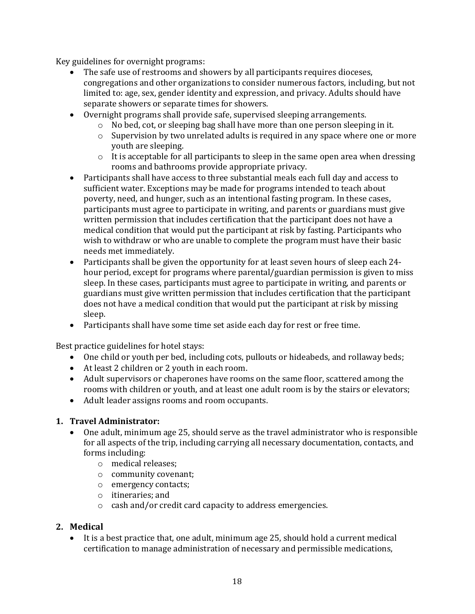Key guidelines for overnight programs:

- The safe use of restrooms and showers by all participants requires dioceses, congregations and other organizations to consider numerous factors, including, but not limited to: age, sex, gender identity and expression, and privacy. Adults should have separate showers or separate times for showers.
- Overnight programs shall provide safe, supervised sleeping arrangements.
	- o No bed, cot, or sleeping bag shall have more than one person sleeping in it.
	- o Supervision by two unrelated adults is required in any space where one or more youth are sleeping.
	- $\circ$  It is acceptable for all participants to sleep in the same open area when dressing rooms and bathrooms provide appropriate privacy.
- Participants shall have access to three substantial meals each full day and access to sufficient water. Exceptions may be made for programs intended to teach about poverty, need, and hunger, such as an intentional fasting program. In these cases, participants must agree to participate in writing, and parents or guardians must give written permission that includes certification that the participant does not have a medical condition that would put the participant at risk by fasting. Participants who wish to withdraw or who are unable to complete the program must have their basic needs met immediately.
- Participants shall be given the opportunity for at least seven hours of sleep each 24hour period, except for programs where parental/guardian permission is given to miss sleep. In these cases, participants must agree to participate in writing, and parents or guardians must give written permission that includes certification that the participant does not have a medical condition that would put the participant at risk by missing sleep.
- Participants shall have some time set aside each day for rest or free time.

Best practice guidelines for hotel stays:

- One child or youth per bed, including cots, pullouts or hideabeds, and rollaway beds;
- At least 2 children or 2 youth in each room.
- Adult supervisors or chaperones have rooms on the same floor, scattered among the rooms with children or youth, and at least one adult room is by the stairs or elevators;
- Adult leader assigns rooms and room occupants.

#### **1. Travel Administrator:**

- One adult, minimum age 25, should serve as the travel administrator who is responsible for all aspects of the trip, including carrying all necessary documentation, contacts, and forms including:
	- o medical releases;
	- o community covenant;
	- o emergency contacts;
	- o itineraries; and
	- o cash and/or credit card capacity to address emergencies.

#### **2. Medical**

• It is a best practice that, one adult, minimum age 25, should hold a current medical certification to manage administration of necessary and permissible medications,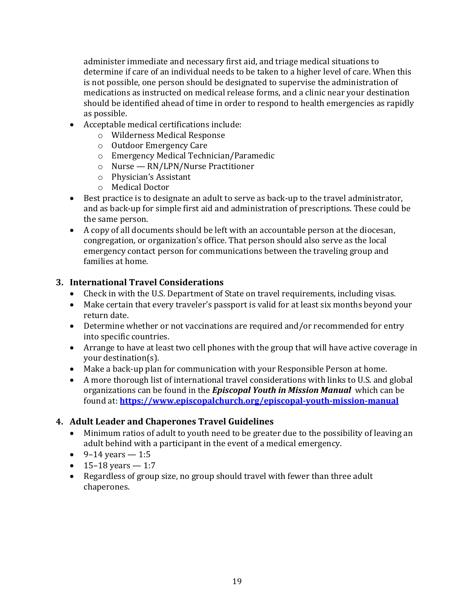administer immediate and necessary first aid, and triage medical situations to determine if care of an individual needs to be taken to a higher level of care. When this is not possible, one person should be designated to supervise the administration of medications as instructed on medical release forms, and a clinic near your destination should be identified ahead of time in order to respond to health emergencies as rapidly as possible.

- Acceptable medical certifications include:
	- o Wilderness Medical Response
	- o Outdoor Emergency Care
	- o Emergency Medical Technician/Paramedic
	- o Nurse RN/LPN/Nurse Practitioner
	- o Physician's Assistant
	- o Medical Doctor
- Best practice is to designate an adult to serve as back-up to the travel administrator, and as back-up for simple first aid and administration of prescriptions. These could be the same person.
- A copy of all documents should be left with an accountable person at the diocesan, congregation, or organization's office. That person should also serve as the local emergency contact person for communications between the traveling group and families at home.

#### **3. International Travel Considerations**

- Check in with the U.S. Department of State on travel requirements, including visas.
- Make certain that every traveler's passport is valid for at least six months beyond your return date.
- Determine whether or not vaccinations are required and/or recommended for entry into specific countries.
- Arrange to have at least two cell phones with the group that will have active coverage in your destination(s).
- Make a back-up plan for communication with your Responsible Person at home.
- A more thorough list of international travel considerations with links to U.S. and global organizations can be found in the *Episcopal Youth in Mission Manual* which can be found at: **<https://www.episcopalchurch.org/episcopal-youth-mission-manual>**

## **4. Adult Leader and Chaperones Travel Guidelines**

- Minimum ratios of adult to youth need to be greater due to the possibility of leaving an adult behind with a participant in the event of a medical emergency.
- 9–14 years 1:5
- 15–18 years  $-1:7$
- Regardless of group size, no group should travel with fewer than three adult chaperones.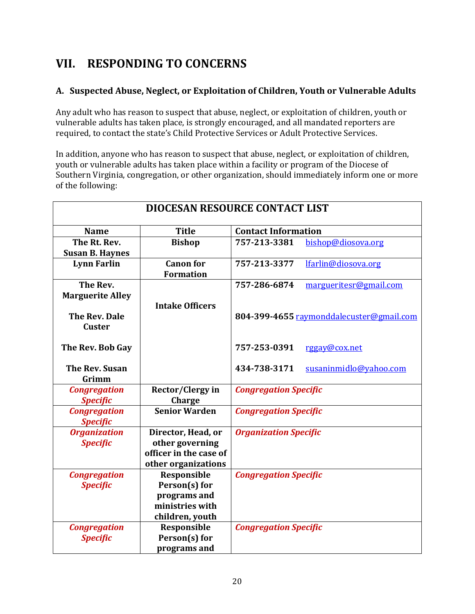# **VII. RESPONDING TO CONCERNS**

## **A. Suspected Abuse, Neglect, or Exploitation of Children, Youth or Vulnerable Adults**

Any adult who has reason to suspect that abuse, neglect, or exploitation of children, youth or vulnerable adults has taken place, is strongly encouraged, and all mandated reporters are required, to contact the state's Child Protective Services or Adult Protective Services.

In addition, anyone who has reason to suspect that abuse, neglect, or exploitation of children, youth or vulnerable adults has taken place within a facility or program of the Diocese of Southern Virginia, congregation, or other organization, should immediately inform one or more of the following:

| <b>DIOCESAN RESOURCE CONTACT LIST</b>  |                                                                                        |                              |                                          |
|----------------------------------------|----------------------------------------------------------------------------------------|------------------------------|------------------------------------------|
| <b>Name</b>                            | <b>Title</b>                                                                           | <b>Contact Information</b>   |                                          |
| The Rt. Rev.<br><b>Susan B. Haynes</b> | <b>Bishop</b>                                                                          | 757-213-3381                 | bishop@diosova.org                       |
| <b>Lynn Farlin</b>                     | <b>Canon</b> for<br><b>Formation</b>                                                   | 757-213-3377                 | lfarlin@diosova.org                      |
| The Rev.<br><b>Marguerite Alley</b>    | <b>Intake Officers</b>                                                                 | 757-286-6874                 | margueritesr@gmail.com                   |
| <b>The Rev. Dale</b><br><b>Custer</b>  |                                                                                        |                              | 804-399-4655 raymonddalecuster@gmail.com |
| The Rev. Bob Gay                       |                                                                                        | 757-253-0391                 | rggay@cox.net                            |
| The Rev. Susan<br>Grimm                |                                                                                        | 434-738-3171                 | susaninmidlo@yahoo.com                   |
| <b>Congregation</b><br><b>Specific</b> | <b>Rector/Clergy in</b><br>Charge                                                      | <b>Congregation Specific</b> |                                          |
| <b>Congregation</b><br><b>Specific</b> | <b>Senior Warden</b>                                                                   | <b>Congregation Specific</b> |                                          |
| <b>Organization</b><br><b>Specific</b> | Director, Head, or<br>other governing<br>officer in the case of<br>other organizations | <b>Organization Specific</b> |                                          |
| <b>Congregation</b><br><b>Specific</b> | Responsible<br>Person(s) for<br>programs and<br>ministries with<br>children, youth     | <b>Congregation Specific</b> |                                          |
| <b>Congregation</b><br><b>Specific</b> | Responsible<br>Person(s) for<br>programs and                                           | <b>Congregation Specific</b> |                                          |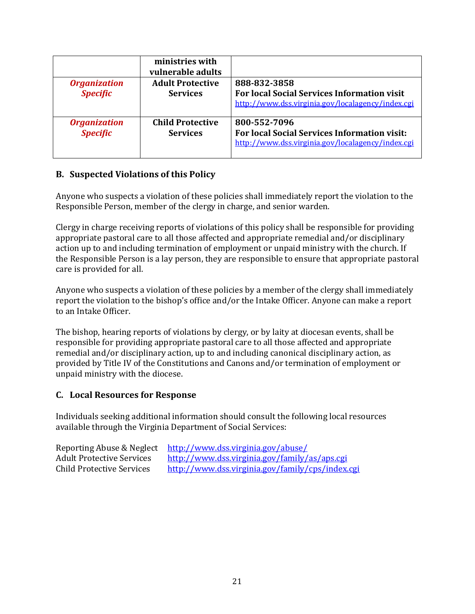|                     | ministries with<br>vulnerable adults |                                                     |
|---------------------|--------------------------------------|-----------------------------------------------------|
| <b>Organization</b> | <b>Adult Protective</b>              | 888-832-3858                                        |
| <b>Specific</b>     | <b>Services</b>                      | <b>For local Social Services Information visit</b>  |
|                     |                                      | http://www.dss.virginia.gov/localagency/index.cgi   |
| <b>Organization</b> | <b>Child Protective</b>              | 800-552-7096                                        |
| <b>Specific</b>     | <b>Services</b>                      | <b>For local Social Services Information visit:</b> |
|                     |                                      | http://www.dss.virginia.gov/localagency/index.cgi   |

## **B. Suspected Violations of this Policy**

Anyone who suspects a violation of these policies shall immediately report the violation to the Responsible Person, member of the clergy in charge, and senior warden.

Clergy in charge receiving reports of violations of this policy shall be responsible for providing appropriate pastoral care to all those affected and appropriate remedial and/or disciplinary action up to and including termination of employment or unpaid ministry with the church. If the Responsible Person is a lay person, they are responsible to ensure that appropriate pastoral care is provided for all.

Anyone who suspects a violation of these policies by a member of the clergy shall immediately report the violation to the bishop's office and/or the Intake Officer. Anyone can make a report to an Intake Officer.

The bishop, hearing reports of violations by clergy, or by laity at diocesan events, shall be responsible for providing appropriate pastoral care to all those affected and appropriate remedial and/or disciplinary action, up to and including canonical disciplinary action, as provided by Title IV of the Constitutions and Canons and/or termination of employment or unpaid ministry with the diocese.

#### **C. Local Resources for Response**

Individuals seeking additional information should consult the following local resources available through the Virginia Department of Social Services:

| Reporting Abuse & Neglect        | http://www.dss.virginia.gov/abuse/               |
|----------------------------------|--------------------------------------------------|
| <b>Adult Protective Services</b> | http://www.dss.virginia.gov/family/as/aps.cgi    |
| <b>Child Protective Services</b> | http://www.dss.virginia.gov/family/cps/index.cgi |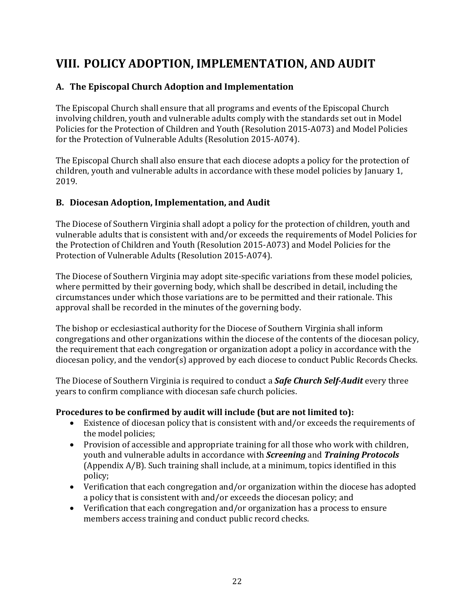# **VIII. POLICY ADOPTION, IMPLEMENTATION, AND AUDIT**

# **A. The Episcopal Church Adoption and Implementation**

The Episcopal Church shall ensure that all programs and events of the Episcopal Church involving children, youth and vulnerable adults comply with the standards set out in Model Policies for the Protection of Children and Youth (Resolution 2015-A073) and Model Policies for the Protection of Vulnerable Adults (Resolution 2015-A074).

The Episcopal Church shall also ensure that each diocese adopts a policy for the protection of children, youth and vulnerable adults in accordance with these model policies by January 1, 2019.

## **B. Diocesan Adoption, Implementation, and Audit**

The Diocese of Southern Virginia shall adopt a policy for the protection of children, youth and vulnerable adults that is consistent with and/or exceeds the requirements of Model Policies for the Protection of Children and Youth (Resolution 2015-A073) and Model Policies for the Protection of Vulnerable Adults (Resolution 2015-A074).

The Diocese of Southern Virginia may adopt site-specific variations from these model policies, where permitted by their governing body, which shall be described in detail, including the circumstances under which those variations are to be permitted and their rationale. This approval shall be recorded in the minutes of the governing body.

The bishop or ecclesiastical authority for the Diocese of Southern Virginia shall inform congregations and other organizations within the diocese of the contents of the diocesan policy, the requirement that each congregation or organization adopt a policy in accordance with the diocesan policy, and the vendor(s) approved by each diocese to conduct Public Records Checks.

The Diocese of Southern Virginia is required to conduct a *Safe Church Self-Audit* every three years to confirm compliance with diocesan safe church policies.

## **Procedures to be confirmed by audit will include (but are not limited to):**

- Existence of diocesan policy that is consistent with and/or exceeds the requirements of the model policies;
- Provision of accessible and appropriate training for all those who work with children, youth and vulnerable adults in accordance with *Screening* and *Training Protocols*  (Appendix A/B). Such training shall include, at a minimum, topics identified in this policy;
- Verification that each congregation and/or organization within the diocese has adopted a policy that is consistent with and/or exceeds the diocesan policy; and
- Verification that each congregation and/or organization has a process to ensure members access training and conduct public record checks.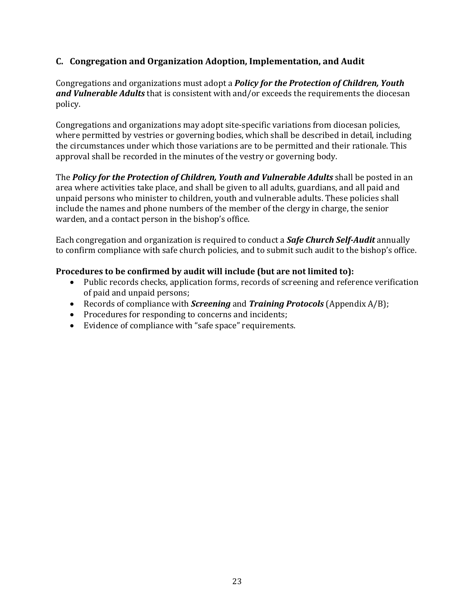#### **C. Congregation and Organization Adoption, Implementation, and Audit**

Congregations and organizations must adopt a *Policy for the Protection of Children, Youth and Vulnerable Adults* that is consistent with and/or exceeds the requirements the diocesan policy.

Congregations and organizations may adopt site-specific variations from diocesan policies, where permitted by vestries or governing bodies, which shall be described in detail, including the circumstances under which those variations are to be permitted and their rationale. This approval shall be recorded in the minutes of the vestry or governing body.

The *Policy for the Protection of Children, Youth and Vulnerable Adults* shall be posted in an area where activities take place, and shall be given to all adults, guardians, and all paid and unpaid persons who minister to children, youth and vulnerable adults. These policies shall include the names and phone numbers of the member of the clergy in charge, the senior warden, and a contact person in the bishop's office.

Each congregation and organization is required to conduct a *Safe Church Self-Audit* annually to confirm compliance with safe church policies, and to submit such audit to the bishop's office.

#### **Procedures to be confirmed by audit will include (but are not limited to):**

- Public records checks, application forms, records of screening and reference verification of paid and unpaid persons;
- Records of compliance with *Screening* and *Training Protocols* (Appendix A/B);
- Procedures for responding to concerns and incidents;
- Evidence of compliance with "safe space" requirements.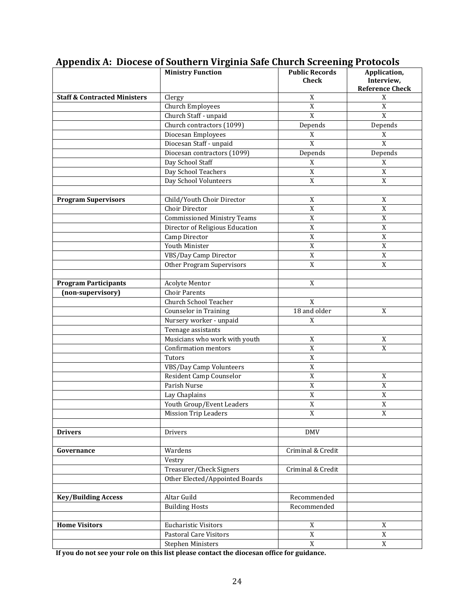|                                         | <b>Ministry Function</b>                                  | <b>Public Records</b><br><b>Check</b> | Application,<br>Interview,<br><b>Reference Check</b> |
|-----------------------------------------|-----------------------------------------------------------|---------------------------------------|------------------------------------------------------|
| <b>Staff &amp; Contracted Ministers</b> | Clergy                                                    | X                                     | X                                                    |
|                                         | <b>Church Employees</b>                                   | X                                     | X                                                    |
|                                         | Church Staff - unpaid                                     | $\overline{X}$                        | X                                                    |
|                                         | Church contractors (1099)                                 | Depends                               | Depends                                              |
|                                         | Diocesan Employees                                        | $\mathbf X$                           | X                                                    |
|                                         | Diocesan Staff - unpaid                                   | X                                     | X                                                    |
|                                         | Diocesan contractors (1099)                               | Depends                               | Depends                                              |
|                                         | Day School Staff                                          | $\mathbf X$                           | $\mathbf X$                                          |
|                                         | Day School Teachers                                       | $\mathbf X$                           | $\mathbf X$                                          |
|                                         | Day School Volunteers                                     | $\mathbf X$                           | $\mathbf X$                                          |
|                                         |                                                           |                                       |                                                      |
| <b>Program Supervisors</b>              | Child/Youth Choir Director                                | $\mathbf X$                           | X                                                    |
|                                         | Choir Director                                            | $\boldsymbol{X}$                      | $\mathbf X$                                          |
|                                         | <b>Commissioned Ministry Teams</b>                        | $\mathbf X$                           | $\mathbf X$                                          |
|                                         | Director of Religious Education                           | $\boldsymbol{X}$                      | $\mathbf X$                                          |
|                                         | Camp Director                                             | $\boldsymbol{X}$                      | $\mathbf X$                                          |
|                                         | <b>Youth Minister</b>                                     | $\boldsymbol{X}$                      | $\mathbf X$                                          |
|                                         | VBS/Day Camp Director                                     | X                                     | X                                                    |
|                                         | <b>Other Program Supervisors</b>                          | X                                     | X                                                    |
|                                         |                                                           |                                       |                                                      |
| <b>Program Participants</b>             | <b>Acolyte Mentor</b>                                     | X                                     |                                                      |
| (non-supervisory)                       | <b>Choir Parents</b>                                      |                                       |                                                      |
|                                         | <b>Church School Teacher</b>                              | X                                     |                                                      |
|                                         | Counselor in Training                                     | 18 and older                          | X                                                    |
|                                         | Nursery worker - unpaid                                   | X                                     |                                                      |
|                                         | Teenage assistants                                        |                                       |                                                      |
|                                         | Musicians who work with youth                             | $\mathbf X$                           | X                                                    |
|                                         | Confirmation mentors                                      | $\mathbf X$                           | $\mathbf X$                                          |
|                                         | Tutors                                                    | $\mathbf X$                           |                                                      |
|                                         | <b>VBS/Day Camp Volunteers</b>                            | $\mathbf X$                           |                                                      |
|                                         | <b>Resident Camp Counselor</b>                            | $\mathbf X$                           | X                                                    |
|                                         | Parish Nurse                                              | $\mathbf X$                           | $\mathbf X$                                          |
|                                         | Lay Chaplains                                             | $\mathbf X$                           | $\mathbf X$                                          |
|                                         | Youth Group/Event Leaders                                 | $\mathbf X$                           | $\mathbf X$                                          |
|                                         | <b>Mission Trip Leaders</b>                               | $\overline{X}$                        | X                                                    |
|                                         |                                                           |                                       |                                                      |
| <b>Drivers</b>                          | Drivers                                                   | <b>DMV</b>                            |                                                      |
| Governance                              | Wardens                                                   | Criminal & Credit                     |                                                      |
|                                         |                                                           |                                       |                                                      |
|                                         | Vestry                                                    | Criminal & Credit                     |                                                      |
|                                         | Treasurer/Check Signers<br>Other Elected/Appointed Boards |                                       |                                                      |
|                                         |                                                           |                                       |                                                      |
| <b>Key/Building Access</b>              | Altar Guild                                               | Recommended                           |                                                      |
|                                         | <b>Building Hosts</b>                                     | Recommended                           |                                                      |
|                                         |                                                           |                                       |                                                      |
| <b>Home Visitors</b>                    | <b>Eucharistic Visitors</b>                               | $\mathbf X$                           | X                                                    |
|                                         | <b>Pastoral Care Visitors</b>                             | $\mathbf X$                           | $\mathbf X$                                          |
|                                         | <b>Stephen Ministers</b>                                  | $\mathbf X$                           | $\mathbf X$                                          |
|                                         |                                                           |                                       |                                                      |

# **Appendix A: Diocese of Southern Virginia Safe Church Screening Protocols**

**If you do not see your role on this list please contact the diocesan office for guidance.**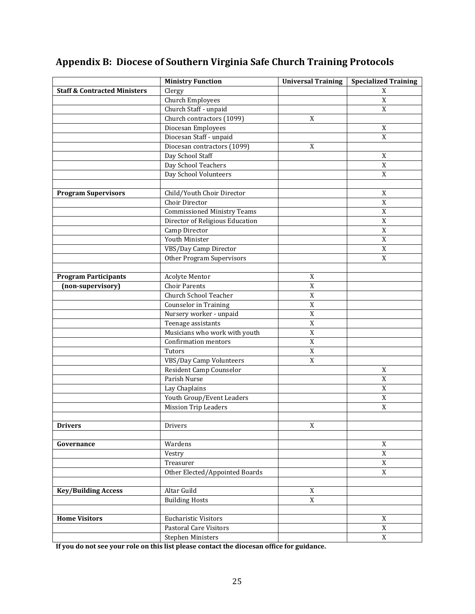|                                                   | <b>Ministry Function</b>           | <b>Universal Training</b> | <b>Specialized Training</b> |
|---------------------------------------------------|------------------------------------|---------------------------|-----------------------------|
| <b>Staff &amp; Contracted Ministers</b><br>Clergy |                                    |                           | X                           |
|                                                   | <b>Church Employees</b>            |                           | $\overline{X}$              |
|                                                   | Church Staff - unpaid              |                           | $\overline{X}$              |
|                                                   | Church contractors (1099)          | $\boldsymbol{X}$          |                             |
|                                                   | Diocesan Employees                 |                           | X                           |
|                                                   | Diocesan Staff - unpaid            |                           | $\mathbf X$                 |
|                                                   | Diocesan contractors (1099)        | X                         |                             |
|                                                   | Day School Staff                   |                           | X                           |
|                                                   | Day School Teachers                |                           | $\mathbf X$                 |
|                                                   | Day School Volunteers              |                           | $\overline{X}$              |
|                                                   |                                    |                           |                             |
| <b>Program Supervisors</b>                        | Child/Youth Choir Director         |                           | $\mathbf X$                 |
|                                                   | Choir Director                     |                           | $\overline{X}$              |
|                                                   | <b>Commissioned Ministry Teams</b> |                           | $\overline{X}$              |
|                                                   | Director of Religious Education    |                           | $\overline{X}$              |
|                                                   | Camp Director                      |                           | $\mathbf X$                 |
|                                                   | Youth Minister                     |                           | $\mathbf X$                 |
|                                                   | VBS/Day Camp Director              |                           | $\mathbf X$                 |
|                                                   | <b>Other Program Supervisors</b>   |                           | $\mathbf X$                 |
|                                                   |                                    |                           |                             |
| <b>Program Participants</b>                       | <b>Acolyte Mentor</b>              | $\mathbf X$               |                             |
| (non-supervisory)                                 | <b>Choir Parents</b>               | $\overline{X}$            |                             |
|                                                   | <b>Church School Teacher</b>       | $\mathbf X$               |                             |
|                                                   | Counselor in Training              | $\mathbf X$               |                             |
|                                                   | Nursery worker - unpaid            | $\mathbf X$               |                             |
|                                                   | Teenage assistants                 | $\mathbf X$               |                             |
|                                                   | Musicians who work with youth      | $\mathbf X$<br>X          |                             |
|                                                   | Confirmation mentors<br>Tutors     | $\mathbf X$               |                             |
|                                                   | VBS/Day Camp Volunteers            | $\mathbf X$               |                             |
|                                                   | Resident Camp Counselor            |                           | $\mathbf X$                 |
|                                                   | Parish Nurse                       |                           | $\overline{X}$              |
|                                                   | Lay Chaplains                      |                           | $\overline{X}$              |
|                                                   | Youth Group/Event Leaders          |                           | $\mathbf X$                 |
|                                                   | <b>Mission Trip Leaders</b>        |                           | $\mathbf X$                 |
|                                                   |                                    |                           |                             |
| <b>Drivers</b>                                    | Drivers                            | X                         |                             |
|                                                   |                                    |                           |                             |
| Governance                                        | Wardens                            |                           | X                           |
|                                                   | Vestry                             |                           | $\overline{X}$              |
|                                                   | Treasurer                          |                           | $\mathbf X$                 |
|                                                   | Other Elected/Appointed Boards     |                           | $\overline{X}$              |
|                                                   |                                    |                           |                             |
| <b>Key/Building Access</b>                        | Altar Guild                        | X                         |                             |
|                                                   | <b>Building Hosts</b>              | $\mathbf X$               |                             |
|                                                   |                                    |                           |                             |
| <b>Home Visitors</b>                              | Eucharistic Visitors               |                           | X                           |
|                                                   | <b>Pastoral Care Visitors</b>      |                           | $\overline{X}$              |
|                                                   | <b>Stephen Ministers</b>           |                           | $\overline{X}$              |

# **Appendix B: Diocese of Southern Virginia Safe Church Training Protocols**

**If you do not see your role on this list please contact the diocesan office for guidance.**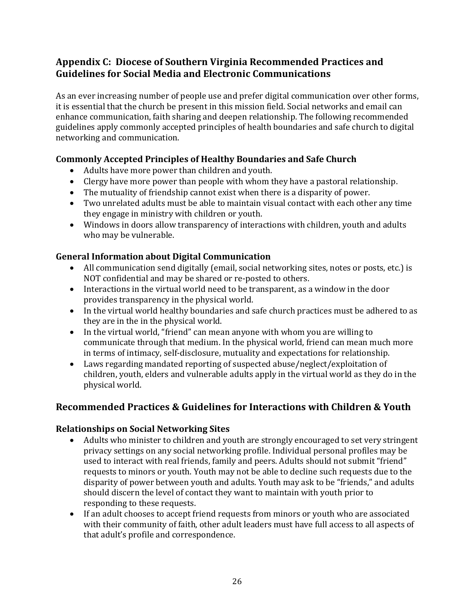# **Appendix C: Diocese of Southern Virginia Recommended Practices and Guidelines for Social Media and Electronic Communications**

As an ever increasing number of people use and prefer digital communication over other forms, it is essential that the church be present in this mission field. Social networks and email can enhance communication, faith sharing and deepen relationship. The following recommended guidelines apply commonly accepted principles of health boundaries and safe church to digital networking and communication.

# **Commonly Accepted Principles of Healthy Boundaries and Safe Church**

- Adults have more power than children and youth.
- Clergy have more power than people with whom they have a pastoral relationship.
- The mutuality of friendship cannot exist when there is a disparity of power.
- Two unrelated adults must be able to maintain visual contact with each other any time they engage in ministry with children or youth.
- Windows in doors allow transparency of interactions with children, youth and adults who may be vulnerable.

# **General Information about Digital Communication**

- All communication send digitally (email, social networking sites, notes or posts, etc.) is NOT confidential and may be shared or re-posted to others.
- Interactions in the virtual world need to be transparent, as a window in the door provides transparency in the physical world.
- In the virtual world healthy boundaries and safe church practices must be adhered to as they are in the in the physical world.
- In the virtual world, "friend" can mean anyone with whom you are willing to communicate through that medium. In the physical world, friend can mean much more in terms of intimacy, self-disclosure, mutuality and expectations for relationship.
- Laws regarding mandated reporting of suspected abuse/neglect/exploitation of children, youth, elders and vulnerable adults apply in the virtual world as they do in the physical world.

# **Recommended Practices & Guidelines for Interactions with Children & Youth**

## **Relationships on Social Networking Sites**

- Adults who minister to children and youth are strongly encouraged to set very stringent privacy settings on any social networking profile. Individual personal profiles may be used to interact with real friends, family and peers. Adults should not submit "friend" requests to minors or youth. Youth may not be able to decline such requests due to the disparity of power between youth and adults. Youth may ask to be "friends," and adults should discern the level of contact they want to maintain with youth prior to responding to these requests.
- If an adult chooses to accept friend requests from minors or youth who are associated with their community of faith, other adult leaders must have full access to all aspects of that adult's profile and correspondence.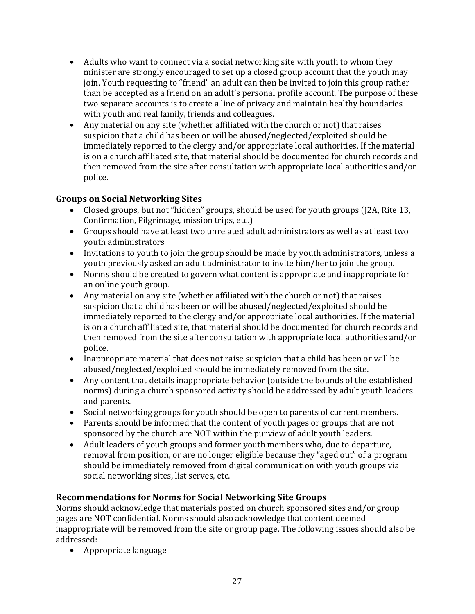- Adults who want to connect via a social networking site with youth to whom they minister are strongly encouraged to set up a closed group account that the youth may join. Youth requesting to "friend" an adult can then be invited to join this group rather than be accepted as a friend on an adult's personal profile account. The purpose of these two separate accounts is to create a line of privacy and maintain healthy boundaries with youth and real family, friends and colleagues.
- Any material on any site (whether affiliated with the church or not) that raises suspicion that a child has been or will be abused/neglected/exploited should be immediately reported to the clergy and/or appropriate local authorities. If the material is on a church affiliated site, that material should be documented for church records and then removed from the site after consultation with appropriate local authorities and/or police.

## **Groups on Social Networking Sites**

- Closed groups, but not "hidden" groups, should be used for youth groups (I2A, Rite 13, Confirmation, Pilgrimage, mission trips, etc.)
- Groups should have at least two unrelated adult administrators as well as at least two youth administrators
- Invitations to youth to join the group should be made by youth administrators, unless a youth previously asked an adult administrator to invite him/her to join the group.
- Norms should be created to govern what content is appropriate and inappropriate for an online youth group.
- Any material on any site (whether affiliated with the church or not) that raises suspicion that a child has been or will be abused/neglected/exploited should be immediately reported to the clergy and/or appropriate local authorities. If the material is on a church affiliated site, that material should be documented for church records and then removed from the site after consultation with appropriate local authorities and/or police.
- Inappropriate material that does not raise suspicion that a child has been or will be abused/neglected/exploited should be immediately removed from the site.
- Any content that details inappropriate behavior (outside the bounds of the established norms) during a church sponsored activity should be addressed by adult youth leaders and parents.
- Social networking groups for youth should be open to parents of current members.
- Parents should be informed that the content of youth pages or groups that are not sponsored by the church are NOT within the purview of adult youth leaders.
- Adult leaders of youth groups and former youth members who, due to departure, removal from position, or are no longer eligible because they "aged out" of a program should be immediately removed from digital communication with youth groups via social networking sites, list serves, etc.

#### **Recommendations for Norms for Social Networking Site Groups**

Norms should acknowledge that materials posted on church sponsored sites and/or group pages are NOT confidential. Norms should also acknowledge that content deemed inappropriate will be removed from the site or group page. The following issues should also be addressed:

• Appropriate language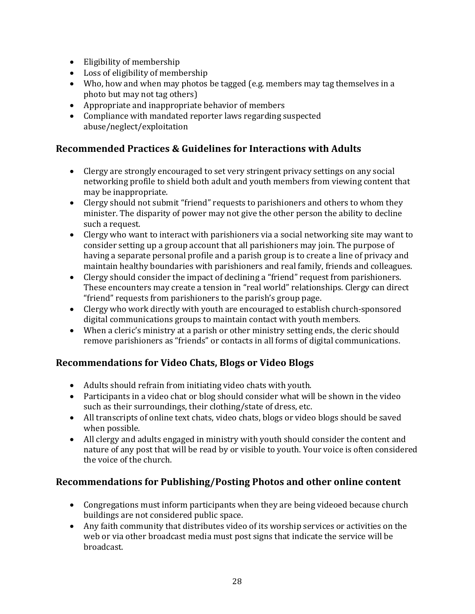- Eligibility of membership
- Loss of eligibility of membership
- Who, how and when may photos be tagged (e.g. members may tag themselves in a photo but may not tag others)
- Appropriate and inappropriate behavior of members
- Compliance with mandated reporter laws regarding suspected abuse/neglect/exploitation

# **Recommended Practices & Guidelines for Interactions with Adults**

- Clergy are strongly encouraged to set very stringent privacy settings on any social networking profile to shield both adult and youth members from viewing content that may be inappropriate.
- Clergy should not submit "friend" requests to parishioners and others to whom they minister. The disparity of power may not give the other person the ability to decline such a request.
- Clergy who want to interact with parishioners via a social networking site may want to consider setting up a group account that all parishioners may join. The purpose of having a separate personal profile and a parish group is to create a line of privacy and maintain healthy boundaries with parishioners and real family, friends and colleagues.
- Clergy should consider the impact of declining a "friend" request from parishioners. These encounters may create a tension in "real world" relationships. Clergy can direct "friend" requests from parishioners to the parish's group page.
- Clergy who work directly with youth are encouraged to establish church-sponsored digital communications groups to maintain contact with youth members.
- When a cleric's ministry at a parish or other ministry setting ends, the cleric should remove parishioners as "friends" or contacts in all forms of digital communications.

# **Recommendations for Video Chats, Blogs or Video Blogs**

- Adults should refrain from initiating video chats with youth.
- Participants in a video chat or blog should consider what will be shown in the video such as their surroundings, their clothing/state of dress, etc.
- All transcripts of online text chats, video chats, blogs or video blogs should be saved when possible.
- All clergy and adults engaged in ministry with youth should consider the content and nature of any post that will be read by or visible to youth. Your voice is often considered the voice of the church.

# **Recommendations for Publishing/Posting Photos and other online content**

- Congregations must inform participants when they are being videoed because church buildings are not considered public space.
- Any faith community that distributes video of its worship services or activities on the web or via other broadcast media must post signs that indicate the service will be broadcast.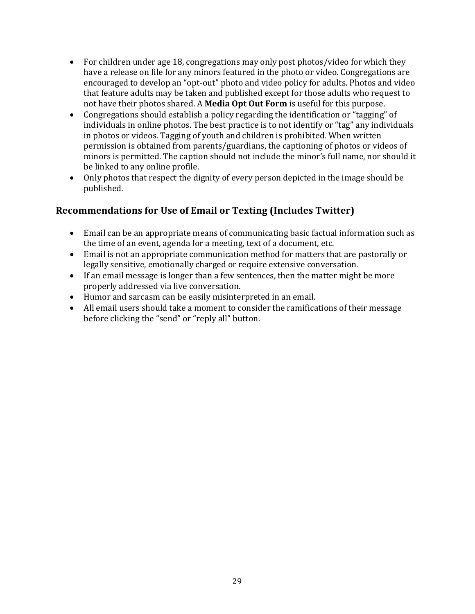- For children under age 18, congregations may only post photos/video for which they have a release on file for any minors featured in the photo or video. Congregations are encouraged to develop an "opt-out" photo and video policy for adults. Photos and video that feature adults may be taken and published except for those adults who request to not have their photos shared. A **Media Opt Out Form** is useful for this purpose.
- Congregations should establish a policy regarding the identification or "tagging" of individuals in online photos. The best practice is to not identify or "tag" any individuals in photos or videos. Tagging of youth and children is prohibited. When written permission is obtained from parents/guardians, the captioning of photos or videos of minors is permitted. The caption should not include the minor's full name, nor should it be linked to any online profile.
- Only photos that respect the dignity of every person depicted in the image should be published.

# **Recommendations for Use of Email or Texting (Includes Twitter)**

- Email can be an appropriate means of communicating basic factual information such as the time of an event, agenda for a meeting, text of a document, etc.
- Email is not an appropriate communication method for matters that are pastorally or legally sensitive, emotionally charged or require extensive conversation.
- If an email message is longer than a few sentences, then the matter might be more properly addressed via live conversation.
- Humor and sarcasm can be easily misinterpreted in an email.
- All email users should take a moment to consider the ramifications of their message before clicking the "send" or "reply all" button.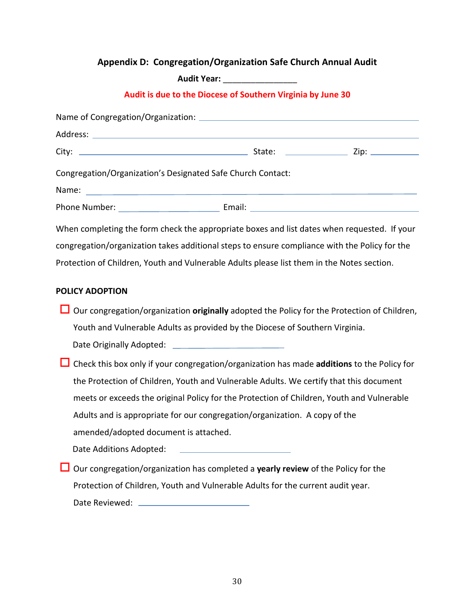# **Appendix D: Congregation/Organization Safe Church Annual Audit**

**Audit Year:** \_\_\_\_\_\_\_\_\_\_\_\_\_\_\_\_

#### **Audit is due to the Diocese of Southern Virginia by June 30**

|                                                             | Address: North Commission and Commission and Commission and Commission and Commission and Commission                    |  |  |  |
|-------------------------------------------------------------|-------------------------------------------------------------------------------------------------------------------------|--|--|--|
|                                                             |                                                                                                                         |  |  |  |
| Congregation/Organization's Designated Safe Church Contact: |                                                                                                                         |  |  |  |
| Name:                                                       | <u> 1989 - Andrea Stadt Britain, amerikansk politik (* 1908)</u>                                                        |  |  |  |
|                                                             | Phone Number: <u>National American Communication</u> Email: National American Communication Communication Communication |  |  |  |
|                                                             | When completing the form check the appropriate boxes and list dates when requested. If your                             |  |  |  |
|                                                             | congregation/organization takes additional steps to ensure compliance with the Policy for the                           |  |  |  |
|                                                             | Protection of Children, Youth and Vulnerable Adults please list them in the Notes section.                              |  |  |  |
| <b>POLICY ADOPTION</b>                                      |                                                                                                                         |  |  |  |
|                                                             | Our congregation/organization originally adopted the Policy for the Protection of Children,                             |  |  |  |
|                                                             | Youth and Vulnerable Adults as provided by the Diocese of Southern Virginia.                                            |  |  |  |
|                                                             |                                                                                                                         |  |  |  |
|                                                             | Check this box only if your congregation/organization has made additions to the Policy for                              |  |  |  |
|                                                             | the Protection of Children, Youth and Vulnerable Adults. We certify that this document                                  |  |  |  |
|                                                             | meets or exceeds the original Policy for the Protection of Children, Youth and Vulnerable                               |  |  |  |
|                                                             | Adults and is appropriate for our congregation/organization. A copy of the                                              |  |  |  |
| amended/adopted document is attached.                       |                                                                                                                         |  |  |  |
| Date Additions Adopted:                                     | <u> 1989 - Johann Barn, mars eta bainar eta industrial eta industrial eta industrial eta industrial eta industria</u>   |  |  |  |
|                                                             | Our congregation/organization has completed a yearly review of the Policy for the                                       |  |  |  |
|                                                             | Protection of Children, Youth and Vulnerable Adults for the current audit year.                                         |  |  |  |
|                                                             |                                                                                                                         |  |  |  |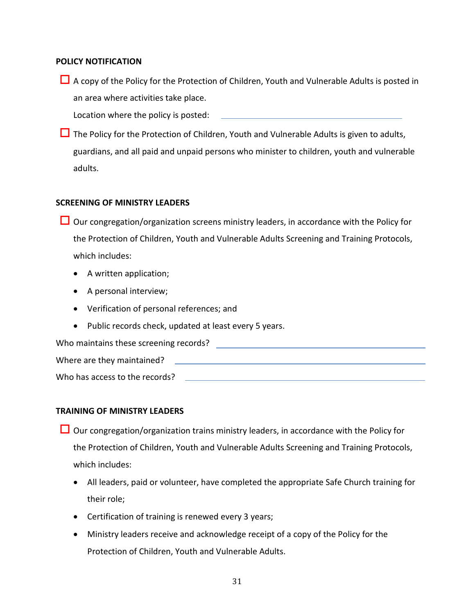#### **POLICY NOTIFICATION**

 $\Box$  A copy of the Policy for the Protection of Children, Youth and Vulnerable Adults is posted in an area where activities take place.

Location where the policy is posted:

 $\Box$  The Policy for the Protection of Children, Youth and Vulnerable Adults is given to adults, guardians, and all paid and unpaid persons who minister to children, youth and vulnerable adults.

#### **SCREENING OF MINISTRY LEADERS**

- $\Box$  Our congregation/organization screens ministry leaders, in accordance with the Policy for the Protection of Children, Youth and Vulnerable Adults Screening and Training Protocols, which includes:
	- A written application;
	- A personal interview;
	- Verification of personal references; and
	- Public records check, updated at least every 5 years.

| Who maintains these screening records? |  |
|----------------------------------------|--|
| Where are they maintained?             |  |
| Who has access to the records?         |  |

#### **TRAINING OF MINISTRY LEADERS**

- $\Box$  Our congregation/organization trains ministry leaders, in accordance with the Policy for the Protection of Children, Youth and Vulnerable Adults Screening and Training Protocols, which includes:
	- All leaders, paid or volunteer, have completed the appropriate Safe Church training for their role;
	- Certification of training is renewed every 3 years;
	- Ministry leaders receive and acknowledge receipt of a copy of the Policy for the Protection of Children, Youth and Vulnerable Adults.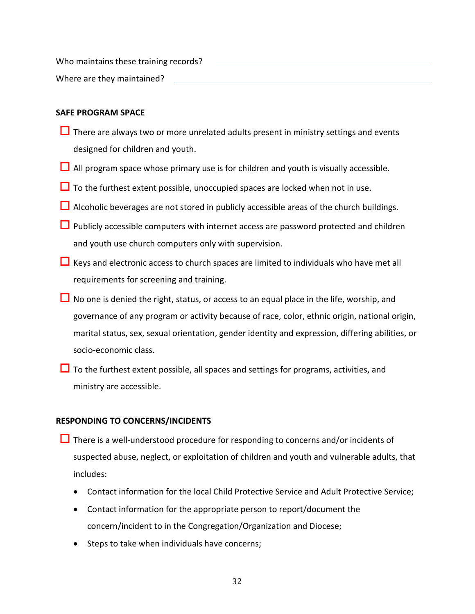Who maintains these training records?

Where are they maintained?

#### **SAFE PROGRAM SPACE**

- $\Box$  There are always two or more unrelated adults present in ministry settings and events designed for children and youth.
- $\Box$  All program space whose primary use is for children and youth is visually accessible.
- $\Box$  To the furthest extent possible, unoccupied spaces are locked when not in use.
- $\Box$  Alcoholic beverages are not stored in publicly accessible areas of the church buildings.
- $\Box$  Publicly accessible computers with internet access are password protected and children and youth use church computers only with supervision.
- $\Box$  Keys and electronic access to church spaces are limited to individuals who have met all requirements for screening and training.
- $\Box$  No one is denied the right, status, or access to an equal place in the life, worship, and governance of any program or activity because of race, color, ethnic origin, national origin, marital status, sex, sexual orientation, gender identity and expression, differing abilities, or socio-economic class.
- $\Box$  To the furthest extent possible, all spaces and settings for programs, activities, and ministry are accessible.

#### **RESPONDING TO CONCERNS/INCIDENTS**

- There is a well-understood procedure for responding to concerns and/or incidents of suspected abuse, neglect, or exploitation of children and youth and vulnerable adults, that includes:
	- Contact information for the local Child Protective Service and Adult Protective Service;
	- Contact information for the appropriate person to report/document the concern/incident to in the Congregation/Organization and Diocese;
	- Steps to take when individuals have concerns;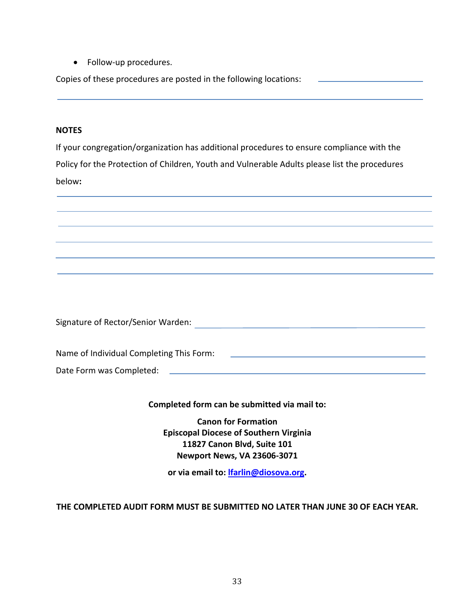• Follow-up procedures.

Copies of these procedures are posted in the following locations:

#### **NOTES**

If your congregation/organization has additional procedures to ensure compliance with the Policy for the Protection of Children, Youth and Vulnerable Adults please list the procedures below**:** 



Signature of Rector/Senior Warden:

Name of Individual Completing This Form: Date Form was Completed: \_\_\_\_\_\_\_\_\_\_

#### **Completed form can be submitted via mail to:**

**Canon for Formation Episcopal Diocese of Southern Virginia 11827 Canon Blvd, Suite 101 Newport News, VA 23606-3071**

**or via email to: [lfarlin@diosova.org.](mailto:lfarlin@diosova.org)**

#### **THE COMPLETED AUDIT FORM MUST BE SUBMITTED NO LATER THAN JUNE 30 OF EACH YEAR.**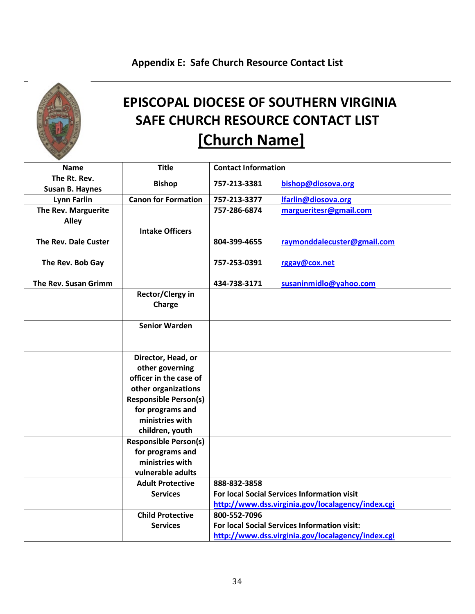# **Appendix E: Safe Church Resource Contact List**



# **EPISCOPAL DIOCESE OF SOUTHERN VIRGINIA SAFE CHURCH RESOURCE CONTACT LIST [Church Name]**

| <b>Name</b>            | <b>Title</b>                 | <b>Contact Information</b>                  |                                                   |
|------------------------|------------------------------|---------------------------------------------|---------------------------------------------------|
| The Rt. Rev.           |                              |                                             |                                                   |
| <b>Susan B. Haynes</b> | <b>Bishop</b>                | 757-213-3381                                | bishop@diosova.org                                |
| <b>Lynn Farlin</b>     | <b>Canon for Formation</b>   | 757-213-3377                                | <b>Ifarlin@diosova.org</b>                        |
| The Rev. Marguerite    |                              | 757-286-6874                                | margueritesr@gmail.com                            |
| <b>Alley</b>           |                              |                                             |                                                   |
|                        | <b>Intake Officers</b>       |                                             |                                                   |
| The Rev. Dale Custer   |                              | 804-399-4655                                | raymonddalecuster@gmail.com                       |
|                        |                              |                                             |                                                   |
| The Rev. Bob Gay       |                              | 757-253-0391                                | rggay@cox.net                                     |
|                        |                              |                                             |                                                   |
| The Rev. Susan Grimm   |                              | 434-738-3171                                | susaninmidlo@yahoo.com                            |
|                        | <b>Rector/Clergy in</b>      |                                             |                                                   |
|                        | Charge                       |                                             |                                                   |
|                        |                              |                                             |                                                   |
|                        | <b>Senior Warden</b>         |                                             |                                                   |
|                        |                              |                                             |                                                   |
|                        |                              |                                             |                                                   |
|                        | Director, Head, or           |                                             |                                                   |
|                        | other governing              |                                             |                                                   |
|                        | officer in the case of       |                                             |                                                   |
|                        | other organizations          |                                             |                                                   |
|                        | <b>Responsible Person(s)</b> |                                             |                                                   |
|                        | for programs and             |                                             |                                                   |
|                        | ministries with              |                                             |                                                   |
|                        | children, youth              |                                             |                                                   |
|                        | <b>Responsible Person(s)</b> |                                             |                                                   |
|                        | for programs and             |                                             |                                                   |
|                        | ministries with              |                                             |                                                   |
|                        | vulnerable adults            |                                             |                                                   |
|                        | <b>Adult Protective</b>      | 888-832-3858                                |                                                   |
|                        | <b>Services</b>              | For local Social Services Information visit |                                                   |
|                        |                              |                                             | http://www.dss.virginia.gov/localagency/index.cgi |
|                        | <b>Child Protective</b>      | 800-552-7096                                |                                                   |
|                        | <b>Services</b>              |                                             | For local Social Services Information visit:      |
|                        |                              |                                             | http://www.dss.virginia.gov/localagency/index.cgi |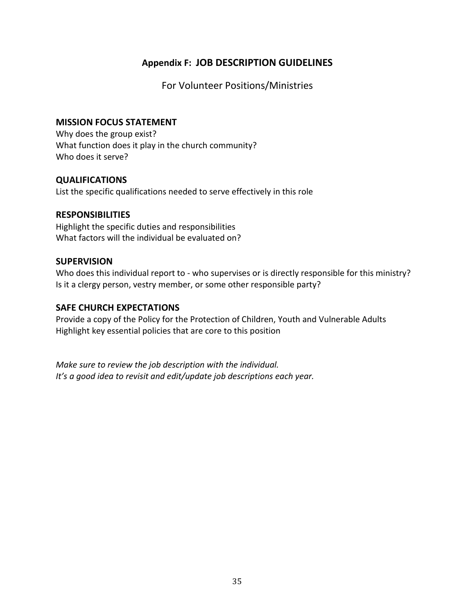# **Appendix F: JOB DESCRIPTION GUIDELINES**

For Volunteer Positions/Ministries

#### **MISSION FOCUS STATEMENT**

Why does the group exist? What function does it play in the church community? Who does it serve?

#### **QUALIFICATIONS**

List the specific qualifications needed to serve effectively in this role

#### **RESPONSIBILITIES**

Highlight the specific duties and responsibilities What factors will the individual be evaluated on?

#### **SUPERVISION**

Who does this individual report to - who supervises or is directly responsible for this ministry? Is it a clergy person, vestry member, or some other responsible party?

#### **SAFE CHURCH EXPECTATIONS**

Provide a copy of the Policy for the Protection of Children, Youth and Vulnerable Adults Highlight key essential policies that are core to this position

*Make sure to review the job description with the individual. It's a good idea to revisit and edit/update job descriptions each year.*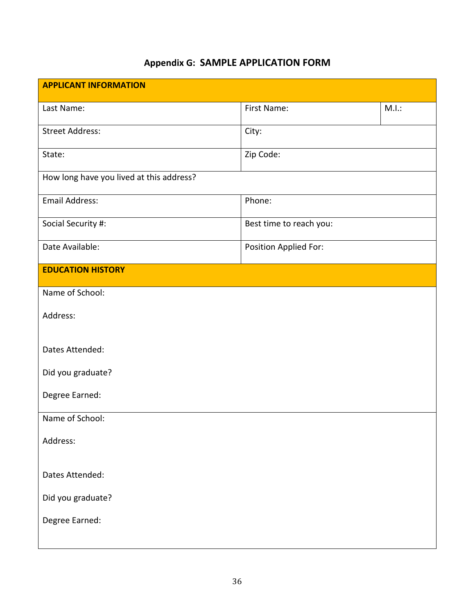# **Appendix G: SAMPLE APPLICATION FORM**

| <b>APPLICANT INFORMATION</b>             |                         |       |  |  |
|------------------------------------------|-------------------------|-------|--|--|
| Last Name:                               | First Name:             | M.I.: |  |  |
| <b>Street Address:</b>                   | City:                   |       |  |  |
| State:                                   | Zip Code:               |       |  |  |
| How long have you lived at this address? |                         |       |  |  |
| <b>Email Address:</b>                    | Phone:                  |       |  |  |
| Social Security #:                       | Best time to reach you: |       |  |  |
| Date Available:                          | Position Applied For:   |       |  |  |
| <b>EDUCATION HISTORY</b>                 |                         |       |  |  |
| Name of School:                          |                         |       |  |  |
| Address:                                 |                         |       |  |  |
| Dates Attended:                          |                         |       |  |  |
| Did you graduate?                        |                         |       |  |  |
| Degree Earned:                           |                         |       |  |  |
| Name of School:                          |                         |       |  |  |
| Address:                                 |                         |       |  |  |
| Dates Attended:                          |                         |       |  |  |
| Did you graduate?                        |                         |       |  |  |
| Degree Earned:                           |                         |       |  |  |
|                                          |                         |       |  |  |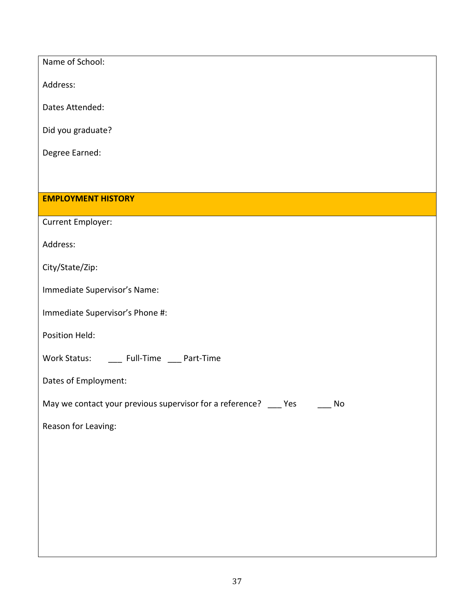| Name of School:                                                           |  |  |  |
|---------------------------------------------------------------------------|--|--|--|
| Address:                                                                  |  |  |  |
| Dates Attended:                                                           |  |  |  |
| Did you graduate?                                                         |  |  |  |
| Degree Earned:                                                            |  |  |  |
|                                                                           |  |  |  |
| <b>EMPLOYMENT HISTORY</b>                                                 |  |  |  |
| Current Employer:                                                         |  |  |  |
| Address:                                                                  |  |  |  |
| City/State/Zip:                                                           |  |  |  |
| Immediate Supervisor's Name:                                              |  |  |  |
| Immediate Supervisor's Phone #:                                           |  |  |  |
| Position Held:                                                            |  |  |  |
| Work Status: ______ Full-Time ____ Part-Time                              |  |  |  |
| Dates of Employment:                                                      |  |  |  |
| May we contact your previous supervisor for a reference? ___ Yes _____ No |  |  |  |
| Reason for Leaving:                                                       |  |  |  |
|                                                                           |  |  |  |
|                                                                           |  |  |  |
|                                                                           |  |  |  |
|                                                                           |  |  |  |
|                                                                           |  |  |  |
|                                                                           |  |  |  |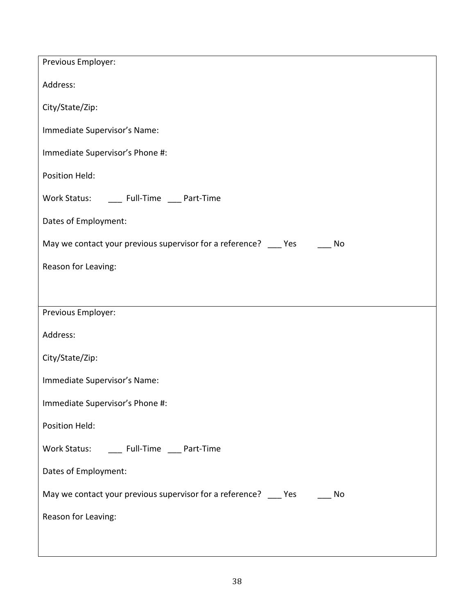| Previous Employer:                                                           |
|------------------------------------------------------------------------------|
| Address:                                                                     |
| City/State/Zip:                                                              |
| Immediate Supervisor's Name:                                                 |
| Immediate Supervisor's Phone #:                                              |
| Position Held:                                                               |
| Work Status: _______ Full-Time _____ Part-Time                               |
| Dates of Employment:                                                         |
| May we contact your previous supervisor for a reference? ____ Yes ____<br>No |
| Reason for Leaving:                                                          |
|                                                                              |
| Previous Employer:                                                           |
| Address:                                                                     |
| City/State/Zip:                                                              |
| Immediate Supervisor's Name:                                                 |
| Immediate Supervisor's Phone #:                                              |
| Position Held:                                                               |
| Work Status: ______ Full-Time ____ Part-Time                                 |
| Dates of Employment:                                                         |
| May we contact your previous supervisor for a reference? Yes<br>No           |
| Reason for Leaving:                                                          |
|                                                                              |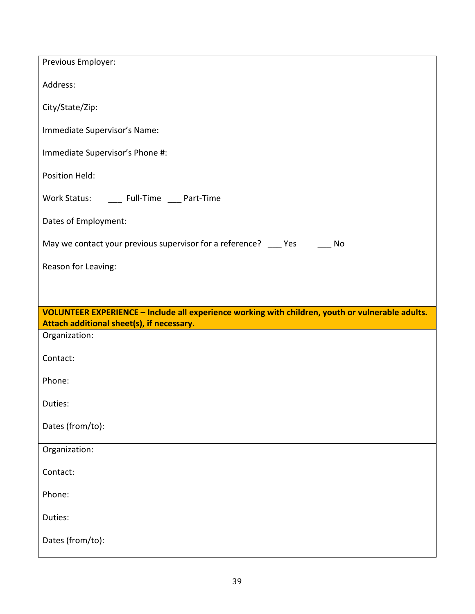| Previous Employer:                                                                                                                                                |
|-------------------------------------------------------------------------------------------------------------------------------------------------------------------|
| Address:                                                                                                                                                          |
| City/State/Zip:                                                                                                                                                   |
| Immediate Supervisor's Name:                                                                                                                                      |
| Immediate Supervisor's Phone #:                                                                                                                                   |
| Position Held:                                                                                                                                                    |
| Work Status: ______ Full-Time ____ Part-Time                                                                                                                      |
| Dates of Employment:                                                                                                                                              |
| May we contact your previous supervisor for a reference? ____ Yes ______ No                                                                                       |
| Reason for Leaving:                                                                                                                                               |
|                                                                                                                                                                   |
|                                                                                                                                                                   |
| VOLUNTEER EXPERIENCE - Include all experience working with children, youth or vulnerable adults.                                                                  |
| Attach additional sheet(s), if necessary.<br><b>Contract Contract Contract Contract Contract Contract Contract Contract Contract Contract Contract Contract C</b> |
| Organization:                                                                                                                                                     |
| Contact:                                                                                                                                                          |
| Phone:                                                                                                                                                            |
| Duties:                                                                                                                                                           |
| Dates (from/to):                                                                                                                                                  |
| Organization:                                                                                                                                                     |
| Contact:                                                                                                                                                          |
| Phone:                                                                                                                                                            |
| Duties:                                                                                                                                                           |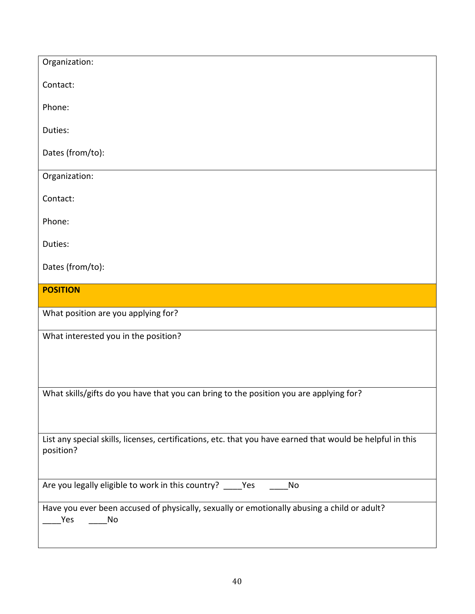| Organization:                                                                                                           |
|-------------------------------------------------------------------------------------------------------------------------|
| Contact:                                                                                                                |
| Phone:                                                                                                                  |
| Duties:                                                                                                                 |
| Dates (from/to):                                                                                                        |
| Organization:                                                                                                           |
| Contact:                                                                                                                |
| Phone:                                                                                                                  |
| Duties:                                                                                                                 |
| Dates (from/to):                                                                                                        |
| <b>POSITION</b>                                                                                                         |
| What position are you applying for?                                                                                     |
|                                                                                                                         |
| What interested you in the position?                                                                                    |
|                                                                                                                         |
|                                                                                                                         |
| What skills/gifts do you have that you can bring to the position you are applying for?                                  |
|                                                                                                                         |
| List any special skills, licenses, certifications, etc. that you have earned that would be helpful in this<br>position? |
| Are you legally eligible to work in this country? _____ Yes<br>No                                                       |
| Have you ever been accused of physically, sexually or emotionally abusing a child or adult?<br>Yes<br>No                |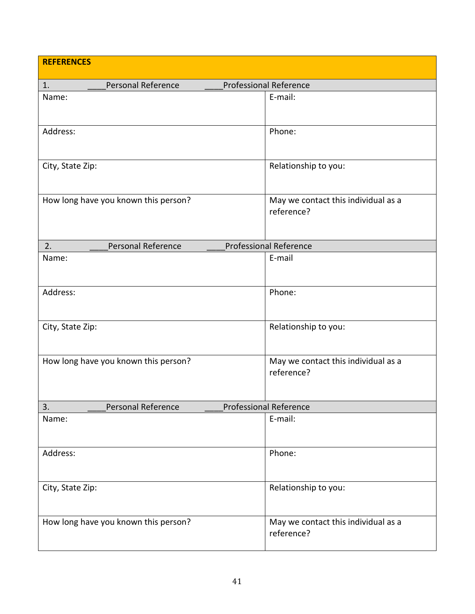| <b>REFERENCES</b>                                         |                                      |  |                                                   |
|-----------------------------------------------------------|--------------------------------------|--|---------------------------------------------------|
| 1.                                                        | Personal Reference                   |  | <b>Professional Reference</b>                     |
| Name:                                                     |                                      |  | E-mail:                                           |
| Address:                                                  |                                      |  | Phone:                                            |
| City, State Zip:                                          |                                      |  | Relationship to you:                              |
|                                                           | How long have you known this person? |  | May we contact this individual as a<br>reference? |
| 2.                                                        | Personal Reference                   |  | <b>Professional Reference</b>                     |
| Name:                                                     |                                      |  | E-mail                                            |
| Address:                                                  |                                      |  | Phone:                                            |
| City, State Zip:                                          |                                      |  | Relationship to you:                              |
|                                                           | How long have you known this person? |  | May we contact this individual as a<br>reference? |
| <b>Professional Reference</b><br>Personal Reference<br>3. |                                      |  |                                                   |
| Name:                                                     |                                      |  | E-mail:                                           |
| Address:                                                  |                                      |  | Phone:                                            |
| City, State Zip:                                          |                                      |  | Relationship to you:                              |
|                                                           | How long have you known this person? |  | May we contact this individual as a<br>reference? |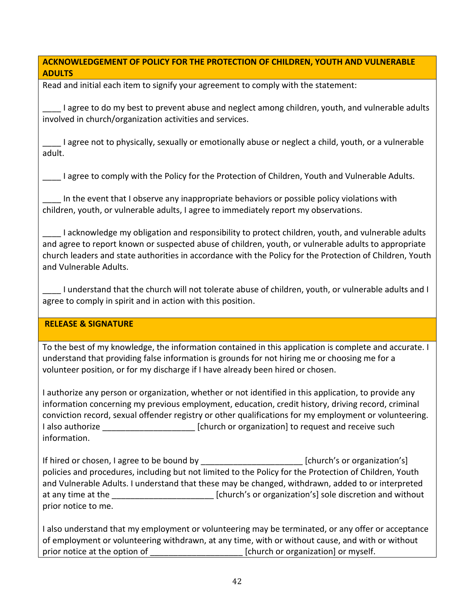#### **ACKNOWLEDGEMENT OF POLICY FOR THE PROTECTION OF CHILDREN, YOUTH AND VULNERABLE ADULTS**

Read and initial each item to signify your agreement to comply with the statement:

\_\_\_\_ I agree to do my best to prevent abuse and neglect among children, youth, and vulnerable adults involved in church/organization activities and services.

\_\_\_\_ I agree not to physically, sexually or emotionally abuse or neglect a child, youth, or a vulnerable adult.

\_\_\_\_ I agree to comply with the Policy for the Protection of Children, Youth and Vulnerable Adults.

In the event that I observe any inappropriate behaviors or possible policy violations with children, youth, or vulnerable adults, I agree to immediately report my observations.

\_\_\_\_ I acknowledge my obligation and responsibility to protect children, youth, and vulnerable adults and agree to report known or suspected abuse of children, youth, or vulnerable adults to appropriate church leaders and state authorities in accordance with the Policy for the Protection of Children, Youth and Vulnerable Adults.

I understand that the church will not tolerate abuse of children, youth, or vulnerable adults and I agree to comply in spirit and in action with this position.

#### **RELEASE & SIGNATURE**

To the best of my knowledge, the information contained in this application is complete and accurate. I understand that providing false information is grounds for not hiring me or choosing me for a volunteer position, or for my discharge if I have already been hired or chosen.

I authorize any person or organization, whether or not identified in this application, to provide any information concerning my previous employment, education, credit history, driving record, criminal conviction record, sexual offender registry or other qualifications for my employment or volunteering. I also authorize **Exercise 2 Exercise 2** [church or organization] to request and receive such information.

If hired or chosen, I agree to be bound by example and the set of policies of properties of  $\lceil$  [church's or organization's] policies and procedures, including but not limited to the Policy for the Protection of Children, Youth and Vulnerable Adults. I understand that these may be changed, withdrawn, added to or interpreted at any time at the **EXCO REGO**  $\qquad \qquad \qquad$  [church's or organization's] sole discretion and without prior notice to me.

I also understand that my employment or volunteering may be terminated, or any offer or acceptance of employment or volunteering withdrawn, at any time, with or without cause, and with or without prior notice at the option of  $\Box$  [church or organization] or myself.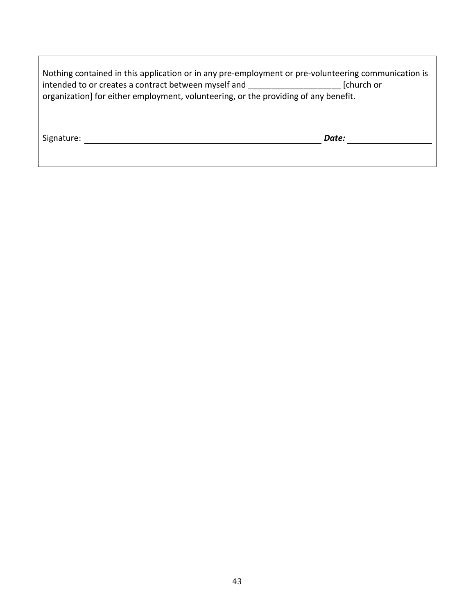| Nothing contained in this application or in any pre-employment or pre-volunteering communication is |            |  |  |
|-----------------------------------------------------------------------------------------------------|------------|--|--|
| intended to or creates a contract between myself and                                                | [church or |  |  |
| organization] for either employment, volunteering, or the providing of any benefit.                 |            |  |  |
|                                                                                                     |            |  |  |

Signature: *Date:*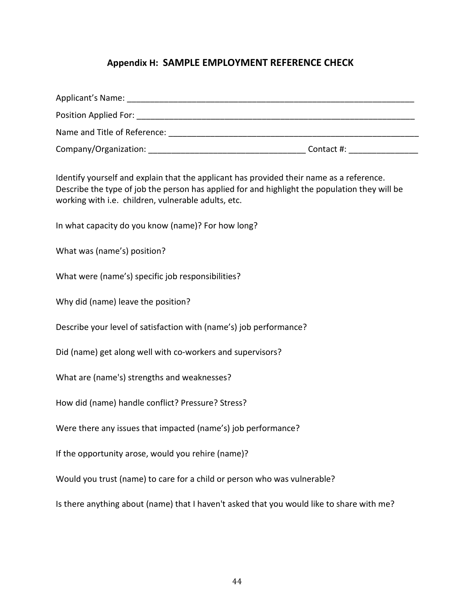## **Appendix H: SAMPLE EMPLOYMENT REFERENCE CHECK**

| <b>Position Applied For:</b> The Contract of the Contract of the Contract of the Contract of the Contract of the Contract of the Contract of the Contract of the Contract of the Contract of the Contract of the Contract of the Co |            |
|-------------------------------------------------------------------------------------------------------------------------------------------------------------------------------------------------------------------------------------|------------|
| Name and Title of Reference:                                                                                                                                                                                                        |            |
|                                                                                                                                                                                                                                     | Contact #: |
|                                                                                                                                                                                                                                     |            |

Identify yourself and explain that the applicant has provided their name as a reference. Describe the type of job the person has applied for and highlight the population they will be working with i.e. children, vulnerable adults, etc.

In what capacity do you know (name)? For how long?

What was (name's) position?

What were (name's) specific job responsibilities?

Why did (name) leave the position?

Describe your level of satisfaction with (name's) job performance?

Did (name) get along well with co-workers and supervisors?

What are (name's) strengths and weaknesses?

How did (name) handle conflict? Pressure? Stress?

Were there any issues that impacted (name's) job performance?

If the opportunity arose, would you rehire (name)?

Would you trust (name) to care for a child or person who was vulnerable?

Is there anything about (name) that I haven't asked that you would like to share with me?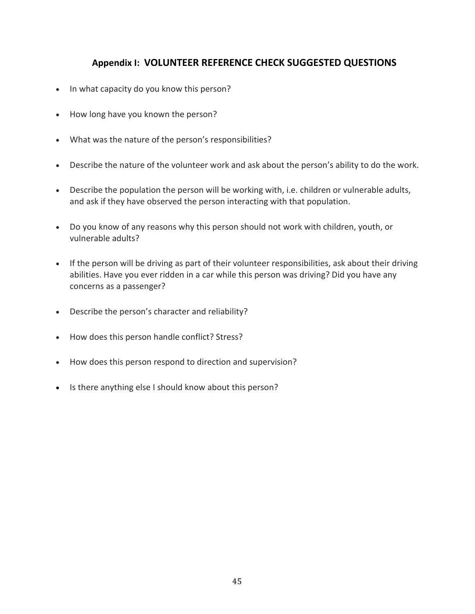# **Appendix I: VOLUNTEER REFERENCE CHECK SUGGESTED QUESTIONS**

- In what capacity do you know this person?
- How long have you known the person?
- What was the nature of the person's responsibilities?
- Describe the nature of the volunteer work and ask about the person's ability to do the work.
- Describe the population the person will be working with, i.e. children or vulnerable adults, and ask if they have observed the person interacting with that population.
- Do you know of any reasons why this person should not work with children, youth, or vulnerable adults?
- If the person will be driving as part of their volunteer responsibilities, ask about their driving abilities. Have you ever ridden in a car while this person was driving? Did you have any concerns as a passenger?
- Describe the person's character and reliability?
- How does this person handle conflict? Stress?
- How does this person respond to direction and supervision?
- Is there anything else I should know about this person?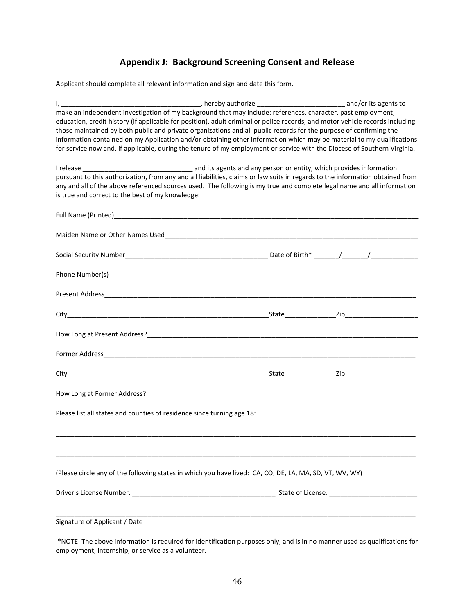# **Appendix J: Background Screening Consent and Release**

Applicant should complete all relevant information and sign and date this form.

| $\mathsf{l}$ , and the set of $\mathsf{r}$                                                                                    | ____________, hereby authorize _____________________________ and/or its agents to |  |
|-------------------------------------------------------------------------------------------------------------------------------|-----------------------------------------------------------------------------------|--|
| make an independent investigation of my background that may include: references, character, past employment,                  |                                                                                   |  |
| education, credit history (if applicable for position), adult criminal or police records, and motor vehicle records including |                                                                                   |  |
| those maintained by both public and private organizations and all public records for the purpose of confirming the            |                                                                                   |  |
| information contained on my Application and/or obtaining other information which may be material to my qualifications         |                                                                                   |  |
| for service now and, if applicable, during the tenure of my employment or service with the Diocese of Southern Virginia.      |                                                                                   |  |
|                                                                                                                               |                                                                                   |  |
|                                                                                                                               |                                                                                   |  |
| pursuant to this authorization, from any and all liabilities, claims or law suits in regards to the information obtained from |                                                                                   |  |
| any and all of the above referenced sources used. The following is my true and complete legal name and all information        |                                                                                   |  |
| is true and correct to the best of my knowledge:                                                                              |                                                                                   |  |
|                                                                                                                               |                                                                                   |  |
|                                                                                                                               |                                                                                   |  |
|                                                                                                                               |                                                                                   |  |
|                                                                                                                               |                                                                                   |  |
|                                                                                                                               |                                                                                   |  |
|                                                                                                                               |                                                                                   |  |
|                                                                                                                               |                                                                                   |  |
|                                                                                                                               |                                                                                   |  |
|                                                                                                                               |                                                                                   |  |
|                                                                                                                               |                                                                                   |  |
|                                                                                                                               |                                                                                   |  |
|                                                                                                                               |                                                                                   |  |
|                                                                                                                               |                                                                                   |  |
|                                                                                                                               |                                                                                   |  |
|                                                                                                                               |                                                                                   |  |
|                                                                                                                               |                                                                                   |  |
|                                                                                                                               |                                                                                   |  |
|                                                                                                                               |                                                                                   |  |
|                                                                                                                               |                                                                                   |  |
|                                                                                                                               |                                                                                   |  |
|                                                                                                                               |                                                                                   |  |
|                                                                                                                               |                                                                                   |  |
| Please list all states and counties of residence since turning age 18:                                                        |                                                                                   |  |
|                                                                                                                               |                                                                                   |  |
|                                                                                                                               |                                                                                   |  |
|                                                                                                                               |                                                                                   |  |
|                                                                                                                               |                                                                                   |  |
|                                                                                                                               |                                                                                   |  |
| (Please circle any of the following states in which you have lived: CA, CO, DE, LA, MA, SD, VT, WV, WY)                       |                                                                                   |  |
|                                                                                                                               |                                                                                   |  |
|                                                                                                                               |                                                                                   |  |
|                                                                                                                               |                                                                                   |  |
|                                                                                                                               |                                                                                   |  |
| Signature of Applicant / Date                                                                                                 |                                                                                   |  |
|                                                                                                                               |                                                                                   |  |

\*NOTE: The above information is required for identification purposes only, and is in no manner used as qualifications for employment, internship, or service as a volunteer.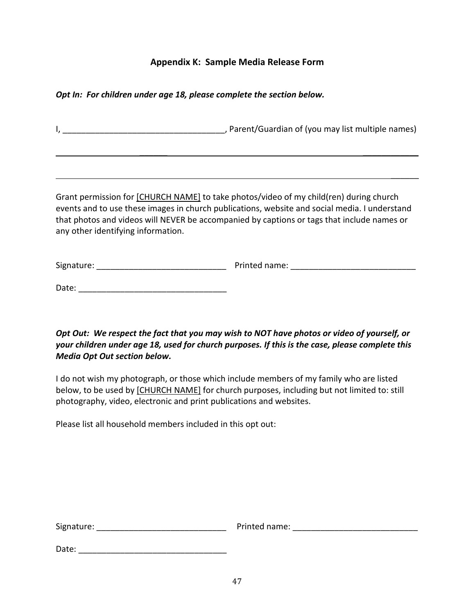## **Appendix K: Sample Media Release Form**

*Opt In: For children under age 18, please complete the section below.*

I, \_\_\_\_\_\_\_\_\_\_\_\_\_\_\_\_\_\_\_\_\_\_\_\_\_\_\_\_\_\_\_\_\_\_\_, Parent/Guardian of (you may list multiple names)

 $\mathcal{L}_\text{max}$  , which is a set of the set of the set of the set of the set of the set of the set of the set of

 $\frac{1}{2}$ 

Grant permission for [CHURCH NAME] to take photos/video of my child(ren) during church events and to use these images in church publications, website and social media. I understand that photos and videos will NEVER be accompanied by captions or tags that include names or any other identifying information.

| Signature: | Printed name: |  |
|------------|---------------|--|
|            |               |  |

Date: \_\_\_\_\_\_\_\_\_\_\_\_\_\_\_\_\_\_\_\_\_\_\_\_\_\_\_\_\_\_\_\_

*Opt Out: We respect the fact that you may wish to NOT have photos or video of yourself, or your children under age 18, used for church purposes. If this is the case, please complete this Media Opt Out section below.*

I do not wish my photograph, or those which include members of my family who are listed below, to be used by [CHURCH NAME] for church purposes, including but not limited to: still photography, video, electronic and print publications and websites.

Please list all household members included in this opt out:

| Signature: |  |  |  |
|------------|--|--|--|
|            |  |  |  |

Signature: \_\_\_\_\_\_\_\_\_\_\_\_\_\_\_\_\_\_\_\_\_\_\_\_\_\_\_\_ Printed name: \_\_\_\_\_\_\_\_\_\_\_\_\_\_\_\_\_\_\_\_\_\_\_\_\_\_\_

Date: \_\_\_\_\_\_\_\_\_\_\_\_\_\_\_\_\_\_\_\_\_\_\_\_\_\_\_\_\_\_\_\_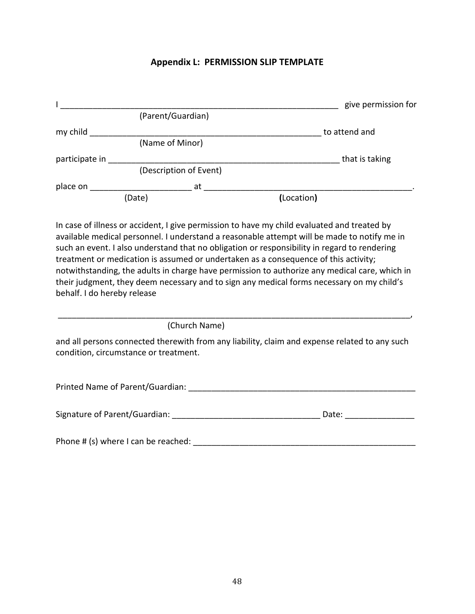#### **Appendix L: PERMISSION SLIP TEMPLATE**

|                |                        |            | give permission for |
|----------------|------------------------|------------|---------------------|
|                | (Parent/Guardian)      |            |                     |
| my child       |                        |            | to attend and       |
|                | (Name of Minor)        |            |                     |
| participate in |                        |            | that is taking      |
|                | (Description of Event) |            |                     |
| place on       | at                     |            |                     |
|                | (Date)                 | (Location) |                     |

In case of illness or accident, I give permission to have my child evaluated and treated by available medical personnel. I understand a reasonable attempt will be made to notify me in such an event. I also understand that no obligation or responsibility in regard to rendering treatment or medication is assumed or undertaken as a consequence of this activity; notwithstanding, the adults in charge have permission to authorize any medical care, which in their judgment, they deem necessary and to sign any medical forms necessary on my child's behalf. I do hereby release

(Church Name)

and all persons connected therewith from any liability, claim and expense related to any such condition, circumstance or treatment.

\_\_\_\_\_\_\_\_\_\_\_\_\_\_\_\_\_\_\_\_\_\_\_\_\_\_\_\_\_\_\_\_\_\_\_\_\_\_\_\_\_\_\_\_\_\_\_\_\_\_\_\_\_\_\_\_\_\_\_\_\_\_\_\_\_\_\_\_\_\_\_\_\_\_\_\_,

| Printed Name of Parent/Guardian: |
|----------------------------------|
|----------------------------------|

| Signature of Parent/Guardian: | Date: |  |
|-------------------------------|-------|--|
|                               |       |  |

Phone # (s) where I can be reached: \_\_\_\_\_\_\_\_\_\_\_\_\_\_\_\_\_\_\_\_\_\_\_\_\_\_\_\_\_\_\_\_\_\_\_\_\_\_\_\_\_\_\_\_\_\_\_\_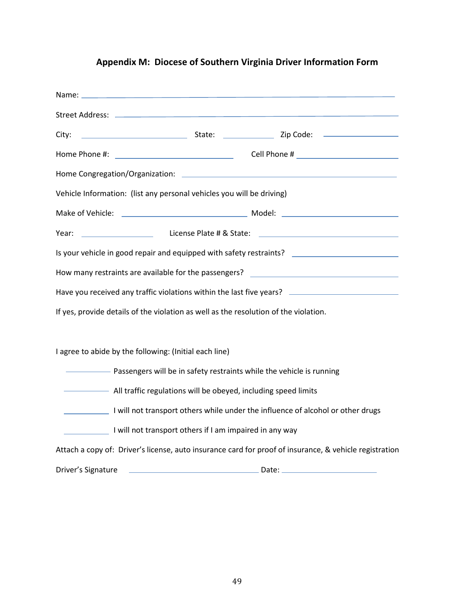# **Appendix M: Diocese of Southern Virginia Driver Information Form**

| Vehicle Information: (list any personal vehicles you will be driving)                                  |  |  |  |
|--------------------------------------------------------------------------------------------------------|--|--|--|
|                                                                                                        |  |  |  |
| <b>Example 2018</b> License Plate # & State:<br>Year:                                                  |  |  |  |
| Is your vehicle in good repair and equipped with safety restraints? _______________________________    |  |  |  |
|                                                                                                        |  |  |  |
| Have you received any traffic violations within the last five years? _______________________________   |  |  |  |
| If yes, provide details of the violation as well as the resolution of the violation.                   |  |  |  |
|                                                                                                        |  |  |  |
| I agree to abide by the following: (Initial each line)                                                 |  |  |  |
| Passengers will be in safety restraints while the vehicle is running                                   |  |  |  |
| - All traffic regulations will be obeyed, including speed limits                                       |  |  |  |
| I will not transport others while under the influence of alcohol or other drugs                        |  |  |  |
| I will not transport others if I am impaired in any way                                                |  |  |  |
| Attach a copy of: Driver's license, auto insurance card for proof of insurance, & vehicle registration |  |  |  |
| Driver's Signature                                                                                     |  |  |  |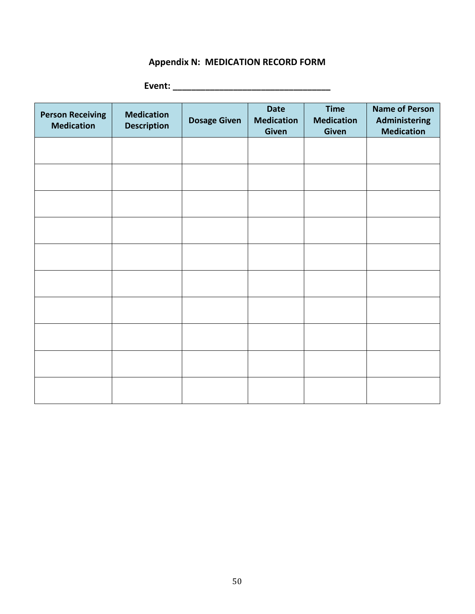# **Appendix N: MEDICATION RECORD FORM**

**Event: \_\_\_\_\_\_\_\_\_\_\_\_\_\_\_\_\_\_\_\_\_\_\_\_\_\_\_\_\_\_\_\_\_\_**

| <b>Person Receiving</b><br><b>Medication</b> | <b>Medication</b><br><b>Description</b> | <b>Dosage Given</b> | <b>Date</b><br><b>Medication</b><br><b>Given</b> | <b>Time</b><br><b>Medication</b><br>Given | <b>Name of Person</b><br>Administering<br><b>Medication</b> |
|----------------------------------------------|-----------------------------------------|---------------------|--------------------------------------------------|-------------------------------------------|-------------------------------------------------------------|
|                                              |                                         |                     |                                                  |                                           |                                                             |
|                                              |                                         |                     |                                                  |                                           |                                                             |
|                                              |                                         |                     |                                                  |                                           |                                                             |
|                                              |                                         |                     |                                                  |                                           |                                                             |
|                                              |                                         |                     |                                                  |                                           |                                                             |
|                                              |                                         |                     |                                                  |                                           |                                                             |
|                                              |                                         |                     |                                                  |                                           |                                                             |
|                                              |                                         |                     |                                                  |                                           |                                                             |
|                                              |                                         |                     |                                                  |                                           |                                                             |
|                                              |                                         |                     |                                                  |                                           |                                                             |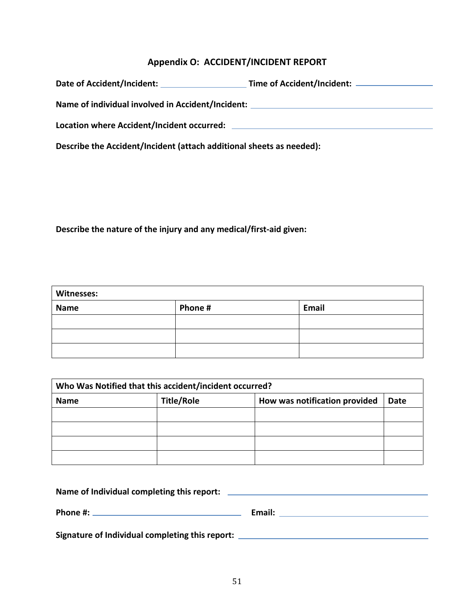# **Appendix O: ACCIDENT/INCIDENT REPORT**

| Date of Accident/Incident:                        | Time of Accident/Incident: _ |
|---------------------------------------------------|------------------------------|
| Name of individual involved in Accident/Incident: |                              |
| Location where Accident/Incident occurred:        |                              |

**Describe the Accident/Incident (attach additional sheets as needed):** 

**Describe the nature of the injury and any medical/first-aid given:**

| <b>Witnesses:</b> |         |       |  |
|-------------------|---------|-------|--|
| <b>Name</b>       | Phone # | Email |  |
|                   |         |       |  |
|                   |         |       |  |
|                   |         |       |  |

| Who Was Notified that this accident/incident occurred? |                   |                               |      |  |
|--------------------------------------------------------|-------------------|-------------------------------|------|--|
| <b>Name</b>                                            | <b>Title/Role</b> | How was notification provided | Date |  |
|                                                        |                   |                               |      |  |
|                                                        |                   |                               |      |  |
|                                                        |                   |                               |      |  |
|                                                        |                   |                               |      |  |

| Name of Individual completing this report:      |        |  |
|-------------------------------------------------|--------|--|
| Phone #:                                        | Email: |  |
| Signature of Individual completing this report: |        |  |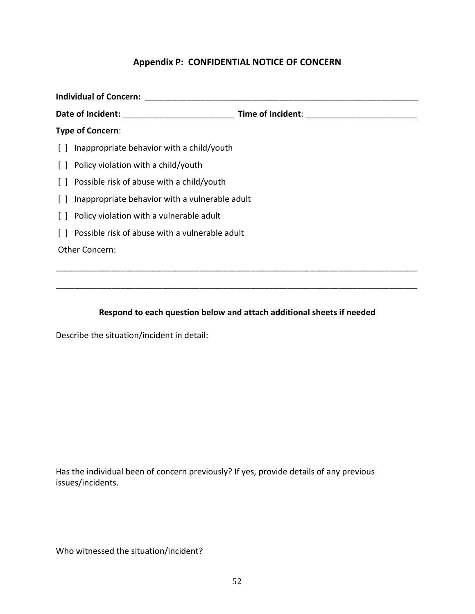## **Appendix P: CONFIDENTIAL NOTICE OF CONCERN**

| <b>Individual of Concern:</b> |                                                      |                   |  |
|-------------------------------|------------------------------------------------------|-------------------|--|
| Date of Incident:             |                                                      | Time of Incident: |  |
|                               | Type of Concern:                                     |                   |  |
|                               | $\lceil$   Inappropriate behavior with a child/youth |                   |  |
|                               | [] Policy violation with a child/youth               |                   |  |
|                               | [] Possible risk of abuse with a child/youth         |                   |  |
|                               | [] Inappropriate behavior with a vulnerable adult    |                   |  |
|                               | [] Policy violation with a vulnerable adult          |                   |  |
|                               | Possible risk of abuse with a vulnerable adult       |                   |  |
| Other Concern:                |                                                      |                   |  |
|                               |                                                      |                   |  |

# **Respond to each question below and attach additional sheets if needed**

\_\_\_\_\_\_\_\_\_\_\_\_\_\_\_\_\_\_\_\_\_\_\_\_\_\_\_\_\_\_\_\_\_\_\_\_\_\_\_\_\_\_\_\_\_\_\_\_\_\_\_\_\_\_\_\_\_\_\_\_\_\_\_\_\_\_\_\_\_\_\_\_\_\_\_\_\_\_

Describe the situation/incident in detail:

Has the individual been of concern previously? If yes, provide details of any previous issues/incidents.

Who witnessed the situation/incident?